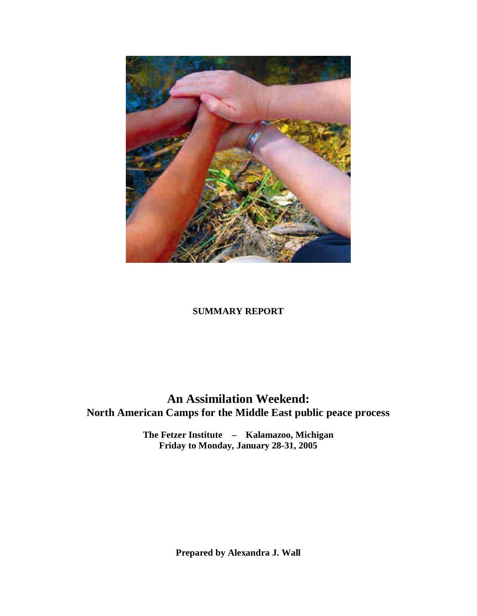

## **SUMMARY REPORT**

# **An Assimilation Weekend: North American Camps for the Middle East public peace process**

**The Fetzer Institute – Kalamazoo, Michigan Friday to Monday, January 28-31, 2005** 

**Prepared by Alexandra J. Wall**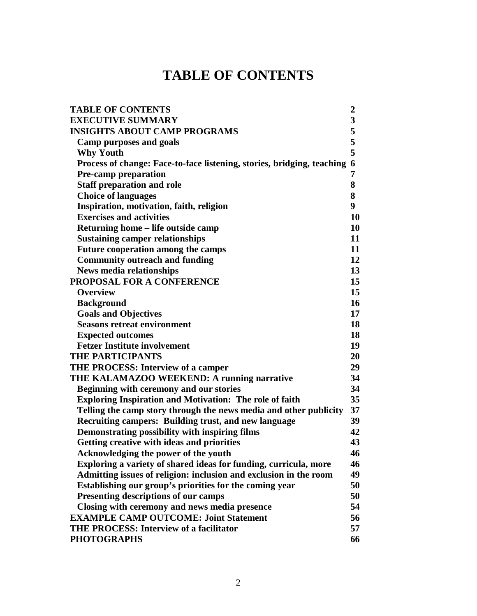# **TABLE OF CONTENTS**

| <b>TABLE OF CONTENTS</b>                                                 | $\boldsymbol{2}$ |
|--------------------------------------------------------------------------|------------------|
| <b>EXECUTIVE SUMMARY</b>                                                 | 3                |
| <b>INSIGHTS ABOUT CAMP PROGRAMS</b>                                      | 5                |
| <b>Camp purposes and goals</b>                                           | 5                |
| <b>Why Youth</b>                                                         | 5                |
| Process of change: Face-to-face listening, stories, bridging, teaching 6 |                  |
| Pre-camp preparation                                                     | 7                |
| <b>Staff preparation and role</b>                                        | 8                |
| <b>Choice of languages</b>                                               | 8                |
| Inspiration, motivation, faith, religion                                 | 9                |
| <b>Exercises and activities</b>                                          | 10               |
| Returning home – life outside camp                                       | 10               |
| <b>Sustaining camper relationships</b>                                   | 11               |
| Future cooperation among the camps                                       | 11               |
| <b>Community outreach and funding</b>                                    | 12               |
| <b>News media relationships</b>                                          | 13               |
| PROPOSAL FOR A CONFERENCE                                                | 15               |
| <b>Overview</b>                                                          | 15               |
| <b>Background</b>                                                        | 16               |
| <b>Goals and Objectives</b>                                              | 17               |
| <b>Seasons retreat environment</b>                                       | 18               |
| <b>Expected outcomes</b>                                                 | 18               |
| <b>Fetzer Institute involvement</b>                                      | 19               |
| <b>THE PARTICIPANTS</b>                                                  | 20               |
| THE PROCESS: Interview of a camper                                       | 29               |
| THE KALAMAZOO WEEKEND: A running narrative                               | 34               |
| Beginning with ceremony and our stories                                  | 34               |
| <b>Exploring Inspiration and Motivation: The role of faith</b>           | 35               |
| Telling the camp story through the news media and other publicity        | 37               |
| Recruiting campers: Building trust, and new language                     | 39               |
| Demonstrating possibility with inspiring films                           | 42               |
| Getting creative with ideas and priorities                               | 43               |
| Acknowledging the power of the youth                                     | 46               |
| Exploring a variety of shared ideas for funding, curricula, more         | 46               |
| Admitting issues of religion: inclusion and exclusion in the room        | 49               |
| Establishing our group's priorities for the coming year                  | 50               |
| Presenting descriptions of our camps                                     | 50               |
| Closing with ceremony and news media presence                            | 54               |
| <b>EXAMPLE CAMP OUTCOME: Joint Statement</b>                             | 56               |
| <b>THE PROCESS: Interview of a facilitator</b>                           | 57               |
| <b>PHOTOGRAPHS</b>                                                       | 66               |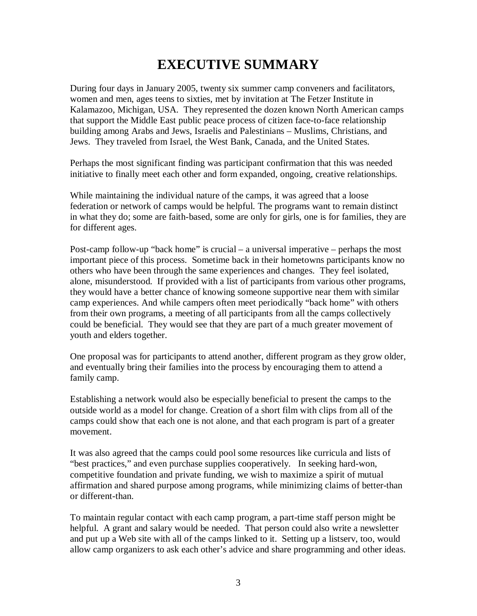# **EXECUTIVE SUMMARY**

During four days in January 2005, twenty six summer camp conveners and facilitators, women and men, ages teens to sixties, met by invitation at The Fetzer Institute in Kalamazoo, Michigan, USA. They represented the dozen known North American camps that support the Middle East public peace process of citizen face-to-face relationship building among Arabs and Jews, Israelis and Palestinians – Muslims, Christians, and Jews. They traveled from Israel, the West Bank, Canada, and the United States.

Perhaps the most significant finding was participant confirmation that this was needed initiative to finally meet each other and form expanded, ongoing, creative relationships.

While maintaining the individual nature of the camps, it was agreed that a loose federation or network of camps would be helpful. The programs want to remain distinct in what they do; some are faith-based, some are only for girls, one is for families, they are for different ages.

Post-camp follow-up "back home" is crucial – a universal imperative – perhaps the most important piece of this process. Sometime back in their hometowns participants know no others who have been through the same experiences and changes. They feel isolated, alone, misunderstood. If provided with a list of participants from various other programs, they would have a better chance of knowing someone supportive near them with similar camp experiences. And while campers often meet periodically "back home" with others from their own programs, a meeting of all participants from all the camps collectively could be beneficial. They would see that they are part of a much greater movement of youth and elders together.

One proposal was for participants to attend another, different program as they grow older, and eventually bring their families into the process by encouraging them to attend a family camp.

Establishing a network would also be especially beneficial to present the camps to the outside world as a model for change. Creation of a short film with clips from all of the camps could show that each one is not alone, and that each program is part of a greater movement.

It was also agreed that the camps could pool some resources like curricula and lists of "best practices," and even purchase supplies cooperatively. In seeking hard-won, competitive foundation and private funding, we wish to maximize a spirit of mutual affirmation and shared purpose among programs, while minimizing claims of better-than or different-than.

To maintain regular contact with each camp program, a part-time staff person might be helpful. A grant and salary would be needed. That person could also write a newsletter and put up a Web site with all of the camps linked to it. Setting up a listserv, too, would allow camp organizers to ask each other's advice and share programming and other ideas.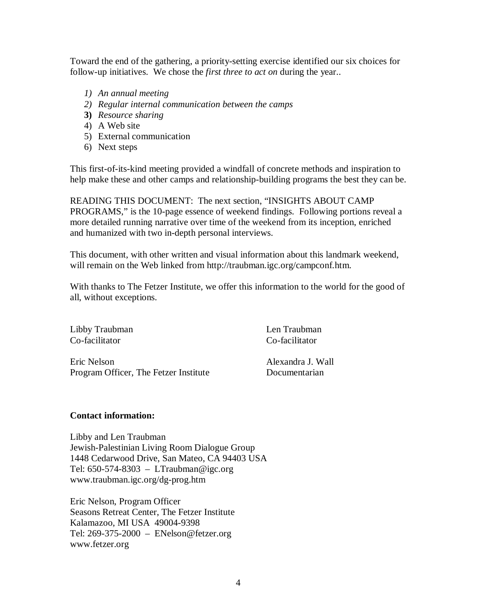Toward the end of the gathering, a priority-setting exercise identified our six choices for follow-up initiatives. We chose the *first three to act on* during the year..

- *1) An annual meeting*
- *2) Regular internal communication between the camps*
- **3)** *Resource sharing*
- 4) A Web site
- 5) External communication
- 6) Next steps

This first-of-its-kind meeting provided a windfall of concrete methods and inspiration to help make these and other camps and relationship-building programs the best they can be.

READING THIS DOCUMENT: The next section, "INSIGHTS ABOUT CAMP PROGRAMS," is the 10-page essence of weekend findings. Following portions reveal a more detailed running narrative over time of the weekend from its inception, enriched and humanized with two in-depth personal interviews.

This document, with other written and visual information about this landmark weekend, will remain on the Web linked from http://traubman.igc.org/campconf.htm.

With thanks to The Fetzer Institute, we offer this information to the world for the good of all, without exceptions.

Libby Traubman Len Traubman Len Traubman Co-facilitator Co-facilitator

Eric Nelson Alexandra J. Wall Program Officer, The Fetzer Institute Documentarian

### **Contact information:**

Libby and Len Traubman Jewish-Palestinian Living Room Dialogue Group 1448 Cedarwood Drive, San Mateo, CA 94403 USA Tel:  $650-574-8303 - LTraubman@ige.org$ www.traubman.igc.org/dg-prog.htm

Eric Nelson, Program Officer Seasons Retreat Center, The Fetzer Institute Kalamazoo, MI USA 49004-9398 Tel: 269-375-2000 – ENelson@fetzer.org www.fetzer.org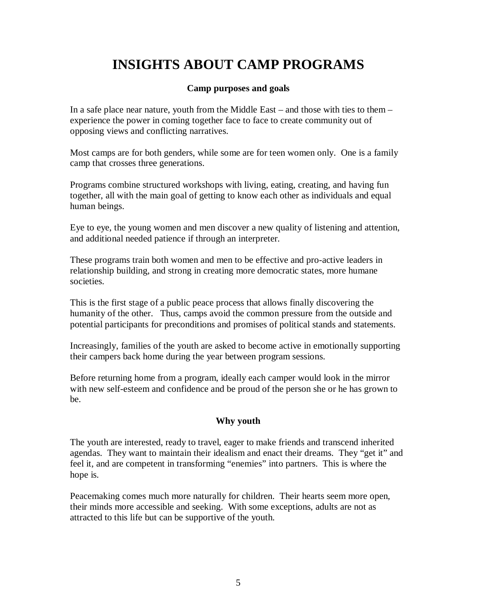# **INSIGHTS ABOUT CAMP PROGRAMS**

#### **Camp purposes and goals**

In a safe place near nature, youth from the Middle East – and those with ties to them – experience the power in coming together face to face to create community out of opposing views and conflicting narratives.

Most camps are for both genders, while some are for teen women only. One is a family camp that crosses three generations.

Programs combine structured workshops with living, eating, creating, and having fun together, all with the main goal of getting to know each other as individuals and equal human beings.

Eye to eye, the young women and men discover a new quality of listening and attention, and additional needed patience if through an interpreter.

These programs train both women and men to be effective and pro-active leaders in relationship building, and strong in creating more democratic states, more humane societies.

This is the first stage of a public peace process that allows finally discovering the humanity of the other. Thus, camps avoid the common pressure from the outside and potential participants for preconditions and promises of political stands and statements.

Increasingly, families of the youth are asked to become active in emotionally supporting their campers back home during the year between program sessions.

Before returning home from a program, ideally each camper would look in the mirror with new self-esteem and confidence and be proud of the person she or he has grown to be.

### **Why youth**

The youth are interested, ready to travel, eager to make friends and transcend inherited agendas. They want to maintain their idealism and enact their dreams. They "get it" and feel it, and are competent in transforming "enemies" into partners. This is where the hope is.

Peacemaking comes much more naturally for children. Their hearts seem more open, their minds more accessible and seeking. With some exceptions, adults are not as attracted to this life but can be supportive of the youth.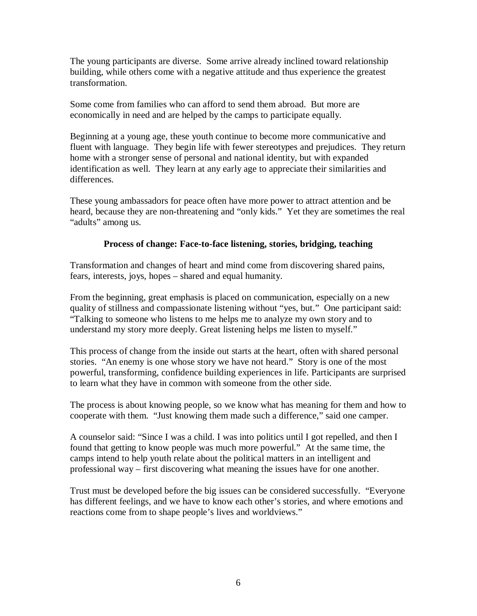The young participants are diverse. Some arrive already inclined toward relationship building, while others come with a negative attitude and thus experience the greatest transformation.

Some come from families who can afford to send them abroad. But more are economically in need and are helped by the camps to participate equally.

Beginning at a young age, these youth continue to become more communicative and fluent with language. They begin life with fewer stereotypes and prejudices. They return home with a stronger sense of personal and national identity, but with expanded identification as well. They learn at any early age to appreciate their similarities and differences.

These young ambassadors for peace often have more power to attract attention and be heard, because they are non-threatening and "only kids." Yet they are sometimes the real "adults" among us.

### **Process of change: Face-to-face listening, stories, bridging, teaching**

Transformation and changes of heart and mind come from discovering shared pains, fears, interests, joys, hopes – shared and equal humanity.

From the beginning, great emphasis is placed on communication, especially on a new quality of stillness and compassionate listening without "yes, but." One participant said: "Talking to someone who listens to me helps me to analyze my own story and to understand my story more deeply. Great listening helps me listen to myself."

This process of change from the inside out starts at the heart, often with shared personal stories. "An enemy is one whose story we have not heard." Story is one of the most powerful, transforming, confidence building experiences in life. Participants are surprised to learn what they have in common with someone from the other side.

The process is about knowing people, so we know what has meaning for them and how to cooperate with them. "Just knowing them made such a difference," said one camper.

A counselor said: "Since I was a child. I was into politics until I got repelled, and then I found that getting to know people was much more powerful." At the same time, the camps intend to help youth relate about the political matters in an intelligent and professional way – first discovering what meaning the issues have for one another.

Trust must be developed before the big issues can be considered successfully. "Everyone has different feelings, and we have to know each other's stories, and where emotions and reactions come from to shape people's lives and worldviews."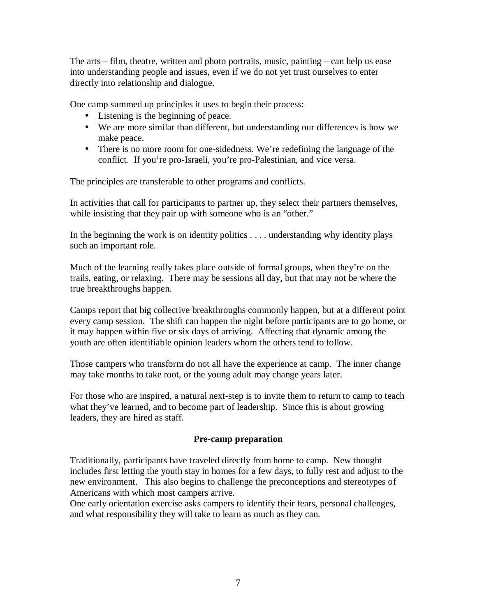The arts – film, theatre, written and photo portraits, music, painting – can help us ease into understanding people and issues, even if we do not yet trust ourselves to enter directly into relationship and dialogue.

One camp summed up principles it uses to begin their process:

- Listening is the beginning of peace.
- We are more similar than different, but understanding our differences is how we make peace.
- There is no more room for one-sidedness. We're redefining the language of the conflict. If you're pro-Israeli, you're pro-Palestinian, and vice versa.

The principles are transferable to other programs and conflicts.

In activities that call for participants to partner up, they select their partners themselves, while insisting that they pair up with someone who is an "other."

In the beginning the work is on identity politics . . . . understanding why identity plays such an important role.

Much of the learning really takes place outside of formal groups, when they're on the trails, eating, or relaxing. There may be sessions all day, but that may not be where the true breakthroughs happen.

Camps report that big collective breakthroughs commonly happen, but at a different point every camp session. The shift can happen the night before participants are to go home, or it may happen within five or six days of arriving. Affecting that dynamic among the youth are often identifiable opinion leaders whom the others tend to follow.

Those campers who transform do not all have the experience at camp. The inner change may take months to take root, or the young adult may change years later.

For those who are inspired, a natural next-step is to invite them to return to camp to teach what they've learned, and to become part of leadership. Since this is about growing leaders, they are hired as staff.

### **Pre-camp preparation**

Traditionally, participants have traveled directly from home to camp. New thought includes first letting the youth stay in homes for a few days, to fully rest and adjust to the new environment. This also begins to challenge the preconceptions and stereotypes of Americans with which most campers arrive.

One early orientation exercise asks campers to identify their fears, personal challenges, and what responsibility they will take to learn as much as they can.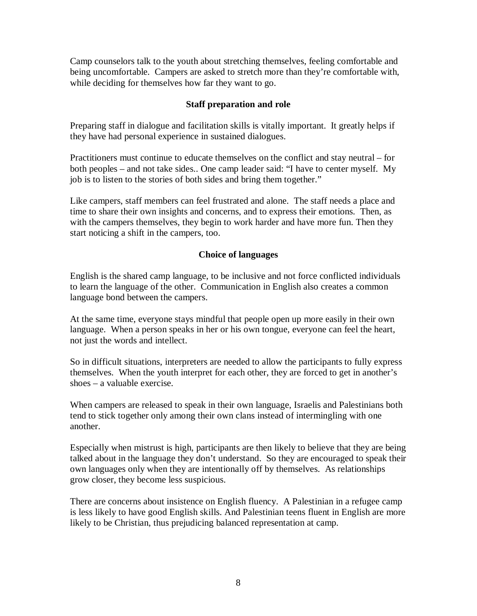Camp counselors talk to the youth about stretching themselves, feeling comfortable and being uncomfortable. Campers are asked to stretch more than they're comfortable with, while deciding for themselves how far they want to go.

#### **Staff preparation and role**

Preparing staff in dialogue and facilitation skills is vitally important. It greatly helps if they have had personal experience in sustained dialogues.

Practitioners must continue to educate themselves on the conflict and stay neutral – for both peoples – and not take sides.. One camp leader said: "I have to center myself. My job is to listen to the stories of both sides and bring them together."

Like campers, staff members can feel frustrated and alone. The staff needs a place and time to share their own insights and concerns, and to express their emotions. Then, as with the campers themselves, they begin to work harder and have more fun. Then they start noticing a shift in the campers, too.

#### **Choice of languages**

English is the shared camp language, to be inclusive and not force conflicted individuals to learn the language of the other. Communication in English also creates a common language bond between the campers.

At the same time, everyone stays mindful that people open up more easily in their own language. When a person speaks in her or his own tongue, everyone can feel the heart, not just the words and intellect.

So in difficult situations, interpreters are needed to allow the participants to fully express themselves. When the youth interpret for each other, they are forced to get in another's shoes – a valuable exercise.

When campers are released to speak in their own language, Israelis and Palestinians both tend to stick together only among their own clans instead of intermingling with one another.

Especially when mistrust is high, participants are then likely to believe that they are being talked about in the language they don't understand. So they are encouraged to speak their own languages only when they are intentionally off by themselves. As relationships grow closer, they become less suspicious.

There are concerns about insistence on English fluency. A Palestinian in a refugee camp is less likely to have good English skills. And Palestinian teens fluent in English are more likely to be Christian, thus prejudicing balanced representation at camp.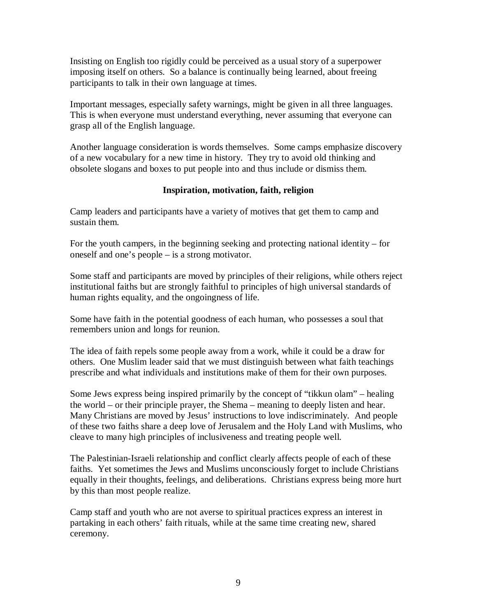Insisting on English too rigidly could be perceived as a usual story of a superpower imposing itself on others. So a balance is continually being learned, about freeing participants to talk in their own language at times.

Important messages, especially safety warnings, might be given in all three languages. This is when everyone must understand everything, never assuming that everyone can grasp all of the English language.

Another language consideration is words themselves. Some camps emphasize discovery of a new vocabulary for a new time in history. They try to avoid old thinking and obsolete slogans and boxes to put people into and thus include or dismiss them.

#### **Inspiration, motivation, faith, religion**

Camp leaders and participants have a variety of motives that get them to camp and sustain them.

For the youth campers, in the beginning seeking and protecting national identity – for oneself and one's people – is a strong motivator.

Some staff and participants are moved by principles of their religions, while others reject institutional faiths but are strongly faithful to principles of high universal standards of human rights equality, and the ongoingness of life.

Some have faith in the potential goodness of each human, who possesses a soul that remembers union and longs for reunion.

The idea of faith repels some people away from a work, while it could be a draw for others. One Muslim leader said that we must distinguish between what faith teachings prescribe and what individuals and institutions make of them for their own purposes.

Some Jews express being inspired primarily by the concept of "tikkun olam" – healing the world – or their principle prayer, the Shema – meaning to deeply listen and hear. Many Christians are moved by Jesus' instructions to love indiscriminately. And people of these two faiths share a deep love of Jerusalem and the Holy Land with Muslims, who cleave to many high principles of inclusiveness and treating people well.

The Palestinian-Israeli relationship and conflict clearly affects people of each of these faiths. Yet sometimes the Jews and Muslims unconsciously forget to include Christians equally in their thoughts, feelings, and deliberations. Christians express being more hurt by this than most people realize.

Camp staff and youth who are not averse to spiritual practices express an interest in partaking in each others' faith rituals, while at the same time creating new, shared ceremony.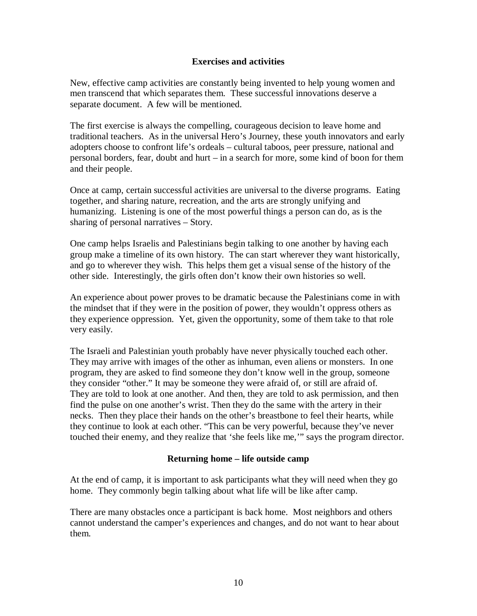#### **Exercises and activities**

New, effective camp activities are constantly being invented to help young women and men transcend that which separates them. These successful innovations deserve a separate document. A few will be mentioned.

The first exercise is always the compelling, courageous decision to leave home and traditional teachers. As in the universal Hero's Journey, these youth innovators and early adopters choose to confront life's ordeals – cultural taboos, peer pressure, national and personal borders, fear, doubt and hurt – in a search for more, some kind of boon for them and their people.

Once at camp, certain successful activities are universal to the diverse programs. Eating together, and sharing nature, recreation, and the arts are strongly unifying and humanizing. Listening is one of the most powerful things a person can do, as is the sharing of personal narratives – Story.

One camp helps Israelis and Palestinians begin talking to one another by having each group make a timeline of its own history. The can start wherever they want historically, and go to wherever they wish. This helps them get a visual sense of the history of the other side. Interestingly, the girls often don't know their own histories so well.

An experience about power proves to be dramatic because the Palestinians come in with the mindset that if they were in the position of power, they wouldn't oppress others as they experience oppression. Yet, given the opportunity, some of them take to that role very easily.

The Israeli and Palestinian youth probably have never physically touched each other. They may arrive with images of the other as inhuman, even aliens or monsters. In one program, they are asked to find someone they don't know well in the group, someone they consider "other." It may be someone they were afraid of, or still are afraid of. They are told to look at one another. And then, they are told to ask permission, and then find the pulse on one another's wrist. Then they do the same with the artery in their necks. Then they place their hands on the other's breastbone to feel their hearts, while they continue to look at each other. "This can be very powerful, because they've never touched their enemy, and they realize that 'she feels like me,'" says the program director.

#### **Returning home – life outside camp**

At the end of camp, it is important to ask participants what they will need when they go home. They commonly begin talking about what life will be like after camp.

There are many obstacles once a participant is back home. Most neighbors and others cannot understand the camper's experiences and changes, and do not want to hear about them.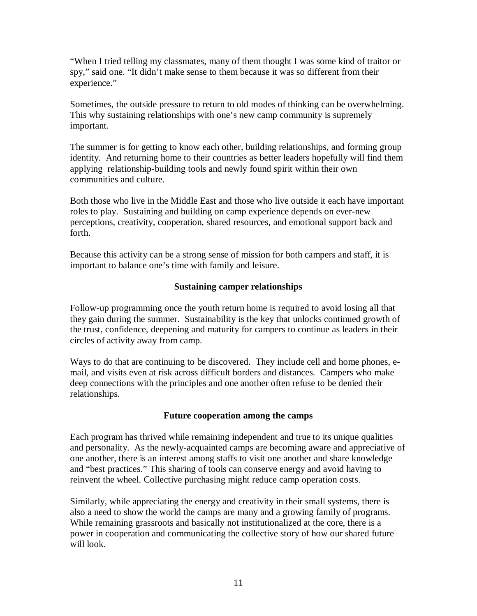"When I tried telling my classmates, many of them thought I was some kind of traitor or spy," said one. "It didn't make sense to them because it was so different from their experience."

Sometimes, the outside pressure to return to old modes of thinking can be overwhelming. This why sustaining relationships with one's new camp community is supremely important.

The summer is for getting to know each other, building relationships, and forming group identity. And returning home to their countries as better leaders hopefully will find them applying relationship-building tools and newly found spirit within their own communities and culture.

Both those who live in the Middle East and those who live outside it each have important roles to play. Sustaining and building on camp experience depends on ever-new perceptions, creativity, cooperation, shared resources, and emotional support back and forth.

Because this activity can be a strong sense of mission for both campers and staff, it is important to balance one's time with family and leisure.

### **Sustaining camper relationships**

Follow-up programming once the youth return home is required to avoid losing all that they gain during the summer. Sustainability is the key that unlocks continued growth of the trust, confidence, deepening and maturity for campers to continue as leaders in their circles of activity away from camp.

Ways to do that are continuing to be discovered. They include cell and home phones, email, and visits even at risk across difficult borders and distances. Campers who make deep connections with the principles and one another often refuse to be denied their relationships.

#### **Future cooperation among the camps**

Each program has thrived while remaining independent and true to its unique qualities and personality. As the newly-acquainted camps are becoming aware and appreciative of one another, there is an interest among staffs to visit one another and share knowledge and "best practices." This sharing of tools can conserve energy and avoid having to reinvent the wheel. Collective purchasing might reduce camp operation costs.

Similarly, while appreciating the energy and creativity in their small systems, there is also a need to show the world the camps are many and a growing family of programs. While remaining grassroots and basically not institutionalized at the core, there is a power in cooperation and communicating the collective story of how our shared future will look.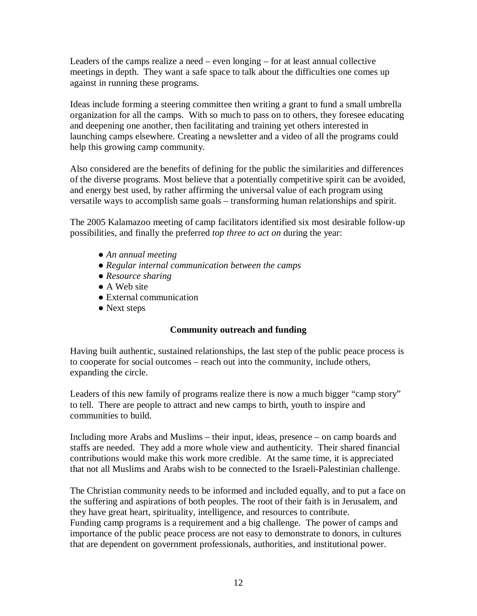Leaders of the camps realize a need – even longing – for at least annual collective meetings in depth. They want a safe space to talk about the difficulties one comes up against in running these programs.

Ideas include forming a steering committee then writing a grant to fund a small umbrella organization for all the camps. With so much to pass on to others, they foresee educating and deepening one another, then facilitating and training yet others interested in launching camps elsewhere. Creating a newsletter and a video of all the programs could help this growing camp community.

Also considered are the benefits of defining for the public the similarities and differences of the diverse programs. Most believe that a potentially competitive spirit can be avoided, and energy best used, by rather affirming the universal value of each program using versatile ways to accomplish same goals – transforming human relationships and spirit.

The 2005 Kalamazoo meeting of camp facilitators identified six most desirable follow-up possibilities, and finally the preferred *top three to act on* during the year:

- *An annual meeting*
- *Regular internal communication between the camps*
- *Resource sharing*
- A Web site
- External communication
- Next steps

### **Community outreach and funding**

Having built authentic, sustained relationships, the last step of the public peace process is to cooperate for social outcomes – reach out into the community, include others, expanding the circle.

Leaders of this new family of programs realize there is now a much bigger "camp story" to tell. There are people to attract and new camps to birth, youth to inspire and communities to build.

Including more Arabs and Muslims – their input, ideas, presence – on camp boards and staffs are needed. They add a more whole view and authenticity. Their shared financial contributions would make this work more credible. At the same time, it is appreciated that not all Muslims and Arabs wish to be connected to the Israeli-Palestinian challenge.

The Christian community needs to be informed and included equally, and to put a face on the suffering and aspirations of both peoples. The root of their faith is in Jerusalem, and they have great heart, spirituality, intelligence, and resources to contribute. Funding camp programs is a requirement and a big challenge. The power of camps and importance of the public peace process are not easy to demonstrate to donors, in cultures that are dependent on government professionals, authorities, and institutional power.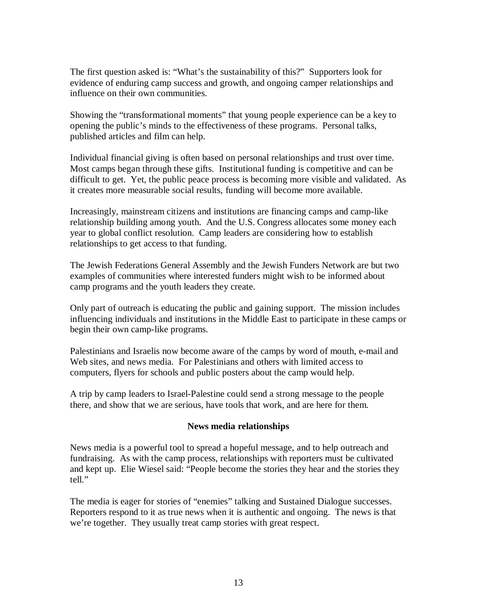The first question asked is: "What's the sustainability of this?" Supporters look for evidence of enduring camp success and growth, and ongoing camper relationships and influence on their own communities.

Showing the "transformational moments" that young people experience can be a key to opening the public's minds to the effectiveness of these programs. Personal talks, published articles and film can help.

Individual financial giving is often based on personal relationships and trust over time. Most camps began through these gifts. Institutional funding is competitive and can be difficult to get. Yet, the public peace process is becoming more visible and validated. As it creates more measurable social results, funding will become more available.

Increasingly, mainstream citizens and institutions are financing camps and camp-like relationship building among youth. And the U.S. Congress allocates some money each year to global conflict resolution. Camp leaders are considering how to establish relationships to get access to that funding.

The Jewish Federations General Assembly and the Jewish Funders Network are but two examples of communities where interested funders might wish to be informed about camp programs and the youth leaders they create.

Only part of outreach is educating the public and gaining support. The mission includes influencing individuals and institutions in the Middle East to participate in these camps or begin their own camp-like programs.

Palestinians and Israelis now become aware of the camps by word of mouth, e-mail and Web sites, and news media. For Palestinians and others with limited access to computers, flyers for schools and public posters about the camp would help.

A trip by camp leaders to Israel-Palestine could send a strong message to the people there, and show that we are serious, have tools that work, and are here for them.

#### **News media relationships**

News media is a powerful tool to spread a hopeful message, and to help outreach and fundraising. As with the camp process, relationships with reporters must be cultivated and kept up. Elie Wiesel said: "People become the stories they hear and the stories they tell."

The media is eager for stories of "enemies" talking and Sustained Dialogue successes. Reporters respond to it as true news when it is authentic and ongoing. The news is that we're together. They usually treat camp stories with great respect.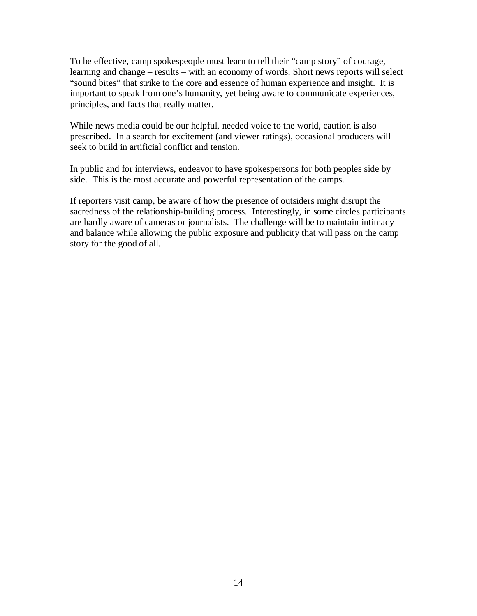To be effective, camp spokespeople must learn to tell their "camp story" of courage, learning and change – results – with an economy of words. Short news reports will select "sound bites" that strike to the core and essence of human experience and insight. It is important to speak from one's humanity, yet being aware to communicate experiences, principles, and facts that really matter.

While news media could be our helpful, needed voice to the world, caution is also prescribed. In a search for excitement (and viewer ratings), occasional producers will seek to build in artificial conflict and tension.

In public and for interviews, endeavor to have spokespersons for both peoples side by side. This is the most accurate and powerful representation of the camps.

If reporters visit camp, be aware of how the presence of outsiders might disrupt the sacredness of the relationship-building process. Interestingly, in some circles participants are hardly aware of cameras or journalists. The challenge will be to maintain intimacy and balance while allowing the public exposure and publicity that will pass on the camp story for the good of all.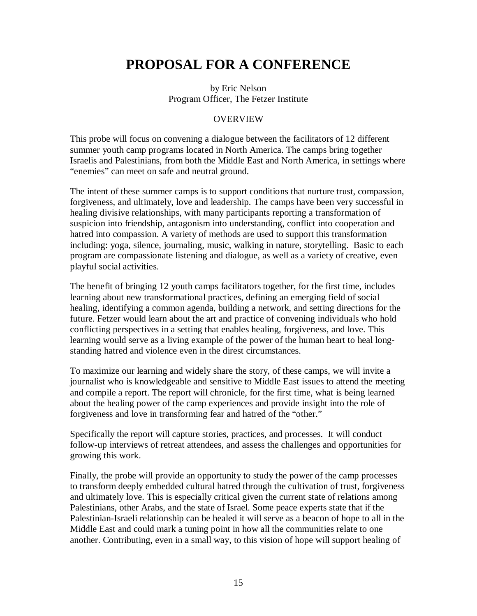# **PROPOSAL FOR A CONFERENCE**

by Eric Nelson Program Officer, The Fetzer Institute

#### **OVERVIEW**

This probe will focus on convening a dialogue between the facilitators of 12 different summer youth camp programs located in North America. The camps bring together Israelis and Palestinians, from both the Middle East and North America, in settings where "enemies" can meet on safe and neutral ground.

The intent of these summer camps is to support conditions that nurture trust, compassion, forgiveness, and ultimately, love and leadership. The camps have been very successful in healing divisive relationships, with many participants reporting a transformation of suspicion into friendship, antagonism into understanding, conflict into cooperation and hatred into compassion. A variety of methods are used to support this transformation including: yoga, silence, journaling, music, walking in nature, storytelling. Basic to each program are compassionate listening and dialogue, as well as a variety of creative, even playful social activities.

The benefit of bringing 12 youth camps facilitators together, for the first time, includes learning about new transformational practices, defining an emerging field of social healing, identifying a common agenda, building a network, and setting directions for the future. Fetzer would learn about the art and practice of convening individuals who hold conflicting perspectives in a setting that enables healing, forgiveness, and love. This learning would serve as a living example of the power of the human heart to heal longstanding hatred and violence even in the direst circumstances.

To maximize our learning and widely share the story, of these camps, we will invite a journalist who is knowledgeable and sensitive to Middle East issues to attend the meeting and compile a report. The report will chronicle, for the first time, what is being learned about the healing power of the camp experiences and provide insight into the role of forgiveness and love in transforming fear and hatred of the "other."

Specifically the report will capture stories, practices, and processes. It will conduct follow-up interviews of retreat attendees, and assess the challenges and opportunities for growing this work.

Finally, the probe will provide an opportunity to study the power of the camp processes to transform deeply embedded cultural hatred through the cultivation of trust, forgiveness and ultimately love. This is especially critical given the current state of relations among Palestinians, other Arabs, and the state of Israel. Some peace experts state that if the Palestinian-Israeli relationship can be healed it will serve as a beacon of hope to all in the Middle East and could mark a tuning point in how all the communities relate to one another. Contributing, even in a small way, to this vision of hope will support healing of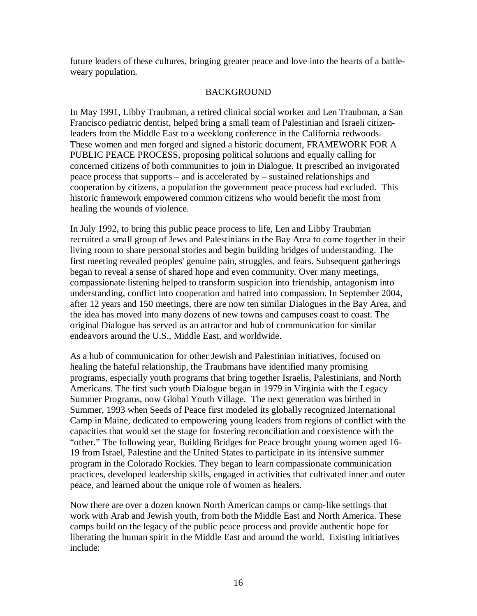future leaders of these cultures, bringing greater peace and love into the hearts of a battleweary population.

### BACKGROUND

In May 1991, Libby Traubman, a retired clinical social worker and Len Traubman, a San Francisco pediatric dentist, helped bring a small team of Palestinian and Israeli citizenleaders from the Middle East to a weeklong conference in the California redwoods. These women and men forged and signed a historic document, FRAMEWORK FOR A PUBLIC PEACE PROCESS, proposing political solutions and equally calling for concerned citizens of both communities to join in Dialogue. It prescribed an invigorated peace process that supports – and is accelerated by – sustained relationships and cooperation by citizens, a population the government peace process had excluded. This historic framework empowered common citizens who would benefit the most from healing the wounds of violence.

In July 1992, to bring this public peace process to life, Len and Libby Traubman recruited a small group of Jews and Palestinians in the Bay Area to come together in their living room to share personal stories and begin building bridges of understanding. The first meeting revealed peoples' genuine pain, struggles, and fears. Subsequent gatherings began to reveal a sense of shared hope and even community. Over many meetings, compassionate listening helped to transform suspicion into friendship, antagonism into understanding, conflict into cooperation and hatred into compassion. In September 2004, after 12 years and 150 meetings, there are now ten similar Dialogues in the Bay Area, and the idea has moved into many dozens of new towns and campuses coast to coast. The original Dialogue has served as an attractor and hub of communication for similar endeavors around the U.S., Middle East, and worldwide.

As a hub of communication for other Jewish and Palestinian initiatives, focused on healing the hateful relationship, the Traubmans have identified many promising programs, especially youth programs that bring together Israelis, Palestinians, and North Americans. The first such youth Dialogue began in 1979 in Virginia with the Legacy Summer Programs, now Global Youth Village. The next generation was birthed in Summer, 1993 when Seeds of Peace first modeled its globally recognized International Camp in Maine, dedicated to empowering young leaders from regions of conflict with the capacities that would set the stage for fostering reconciliation and coexistence with the "other." The following year, Building Bridges for Peace brought young women aged 16- 19 from Israel, Palestine and the United States to participate in its intensive summer program in the Colorado Rockies. They began to learn compassionate communication practices, developed leadership skills, engaged in activities that cultivated inner and outer peace, and learned about the unique role of women as healers.

Now there are over a dozen known North American camps or camp-like settings that work with Arab and Jewish youth, from both the Middle East and North America. These camps build on the legacy of the public peace process and provide authentic hope for liberating the human spirit in the Middle East and around the world. Existing initiatives include: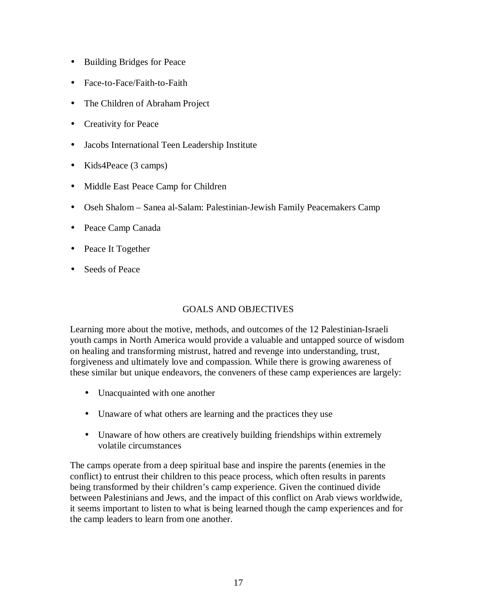- Building Bridges for Peace
- Face-to-Face/Faith-to-Faith
- The Children of Abraham Project
- Creativity for Peace
- Jacobs International Teen Leadership Institute
- Kids4Peace (3 camps)
- Middle East Peace Camp for Children
- Oseh Shalom Sanea al-Salam: Palestinian-Jewish Family Peacemakers Camp
- Peace Camp Canada
- Peace It Together
- Seeds of Peace

### GOALS AND OBJECTIVES

Learning more about the motive, methods, and outcomes of the 12 Palestinian-Israeli youth camps in North America would provide a valuable and untapped source of wisdom on healing and transforming mistrust, hatred and revenge into understanding, trust, forgiveness and ultimately love and compassion. While there is growing awareness of these similar but unique endeavors, the conveners of these camp experiences are largely:

- Unacquainted with one another
- Unaware of what others are learning and the practices they use
- Unaware of how others are creatively building friendships within extremely volatile circumstances

The camps operate from a deep spiritual base and inspire the parents (enemies in the conflict) to entrust their children to this peace process, which often results in parents being transformed by their children's camp experience. Given the continued divide between Palestinians and Jews, and the impact of this conflict on Arab views worldwide, it seems important to listen to what is being learned though the camp experiences and for the camp leaders to learn from one another.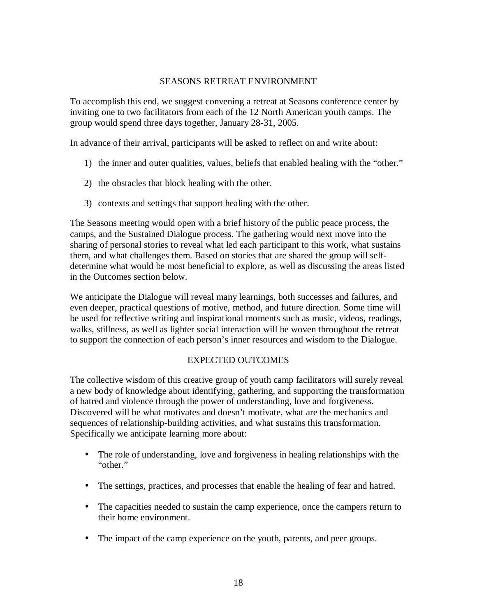#### SEASONS RETREAT ENVIRONMENT

To accomplish this end, we suggest convening a retreat at Seasons conference center by inviting one to two facilitators from each of the 12 North American youth camps. The group would spend three days together, January 28-31, 2005.

In advance of their arrival, participants will be asked to reflect on and write about:

- 1) the inner and outer qualities, values, beliefs that enabled healing with the "other."
- 2) the obstacles that block healing with the other.
- 3) contexts and settings that support healing with the other.

The Seasons meeting would open with a brief history of the public peace process, the camps, and the Sustained Dialogue process. The gathering would next move into the sharing of personal stories to reveal what led each participant to this work, what sustains them, and what challenges them. Based on stories that are shared the group will selfdetermine what would be most beneficial to explore, as well as discussing the areas listed in the Outcomes section below.

We anticipate the Dialogue will reveal many learnings, both successes and failures, and even deeper, practical questions of motive, method, and future direction. Some time will be used for reflective writing and inspirational moments such as music, videos, readings, walks, stillness, as well as lighter social interaction will be woven throughout the retreat to support the connection of each person's inner resources and wisdom to the Dialogue.

### EXPECTED OUTCOMES

The collective wisdom of this creative group of youth camp facilitators will surely reveal a new body of knowledge about identifying, gathering, and supporting the transformation of hatred and violence through the power of understanding, love and forgiveness. Discovered will be what motivates and doesn't motivate, what are the mechanics and sequences of relationship-building activities, and what sustains this transformation. Specifically we anticipate learning more about:

- The role of understanding, love and forgiveness in healing relationships with the "other."
- The settings, practices, and processes that enable the healing of fear and hatred.
- The capacities needed to sustain the camp experience, once the campers return to their home environment.
- The impact of the camp experience on the youth, parents, and peer groups.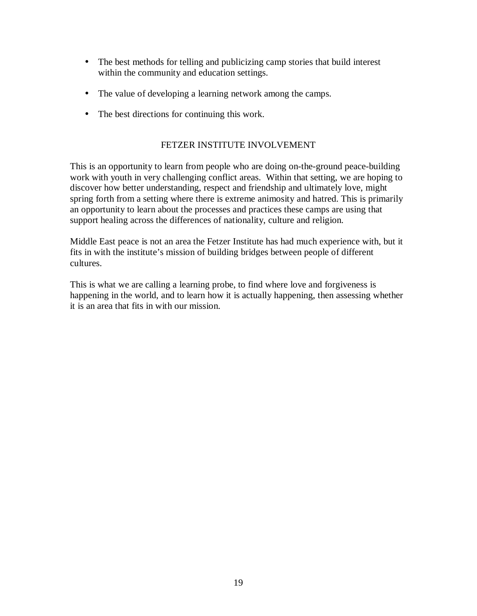- The best methods for telling and publicizing camp stories that build interest within the community and education settings.
- The value of developing a learning network among the camps.
- The best directions for continuing this work.

#### FETZER INSTITUTE INVOLVEMENT

This is an opportunity to learn from people who are doing on-the-ground peace-building work with youth in very challenging conflict areas. Within that setting, we are hoping to discover how better understanding, respect and friendship and ultimately love, might spring forth from a setting where there is extreme animosity and hatred. This is primarily an opportunity to learn about the processes and practices these camps are using that support healing across the differences of nationality, culture and religion.

Middle East peace is not an area the Fetzer Institute has had much experience with, but it fits in with the institute's mission of building bridges between people of different cultures.

This is what we are calling a learning probe, to find where love and forgiveness is happening in the world, and to learn how it is actually happening, then assessing whether it is an area that fits in with our mission.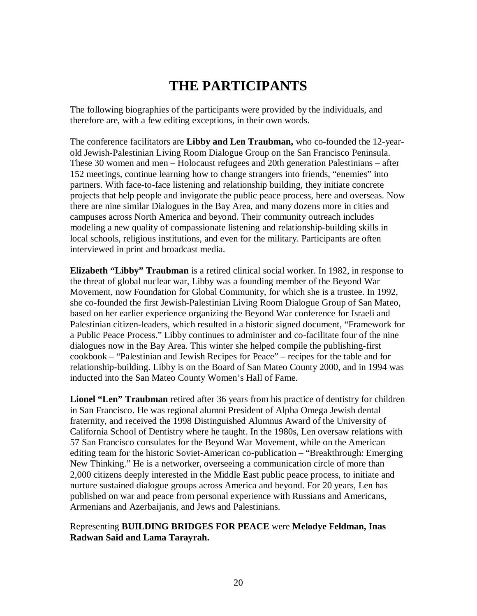# **THE PARTICIPANTS**

The following biographies of the participants were provided by the individuals, and therefore are, with a few editing exceptions, in their own words.

The conference facilitators are **Libby and Len Traubman,** who co-founded the 12-yearold Jewish-Palestinian Living Room Dialogue Group on the San Francisco Peninsula. These 30 women and men – Holocaust refugees and 20th generation Palestinians – after 152 meetings, continue learning how to change strangers into friends, "enemies" into partners. With face-to-face listening and relationship building, they initiate concrete projects that help people and invigorate the public peace process, here and overseas. Now there are nine similar Dialogues in the Bay Area, and many dozens more in cities and campuses across North America and beyond. Their community outreach includes modeling a new quality of compassionate listening and relationship-building skills in local schools, religious institutions, and even for the military. Participants are often interviewed in print and broadcast media.

**Elizabeth "Libby" Traubman** is a retired clinical social worker. In 1982, in response to the threat of global nuclear war, Libby was a founding member of the Beyond War Movement, now Foundation for Global Community, for which she is a trustee. In 1992, she co-founded the first Jewish-Palestinian Living Room Dialogue Group of San Mateo, based on her earlier experience organizing the Beyond War conference for Israeli and Palestinian citizen-leaders, which resulted in a historic signed document, "Framework for a Public Peace Process." Libby continues to administer and co-facilitate four of the nine dialogues now in the Bay Area. This winter she helped compile the publishing-first cookbook – "Palestinian and Jewish Recipes for Peace" – recipes for the table and for relationship-building. Libby is on the Board of San Mateo County 2000, and in 1994 was inducted into the San Mateo County Women's Hall of Fame.

**Lionel "Len" Traubman** retired after 36 years from his practice of dentistry for children in San Francisco. He was regional alumni President of Alpha Omega Jewish dental fraternity, and received the 1998 Distinguished Alumnus Award of the University of California School of Dentistry where he taught. In the 1980s, Len oversaw relations with 57 San Francisco consulates for the Beyond War Movement, while on the American editing team for the historic Soviet-American co-publication – "Breakthrough: Emerging New Thinking." He is a networker, overseeing a communication circle of more than 2,000 citizens deeply interested in the Middle East public peace process, to initiate and nurture sustained dialogue groups across America and beyond. For 20 years, Len has published on war and peace from personal experience with Russians and Americans, Armenians and Azerbaijanis, and Jews and Palestinians.

### Representing **BUILDING BRIDGES FOR PEACE** were **Melodye Feldman, Inas Radwan Said and Lama Tarayrah.**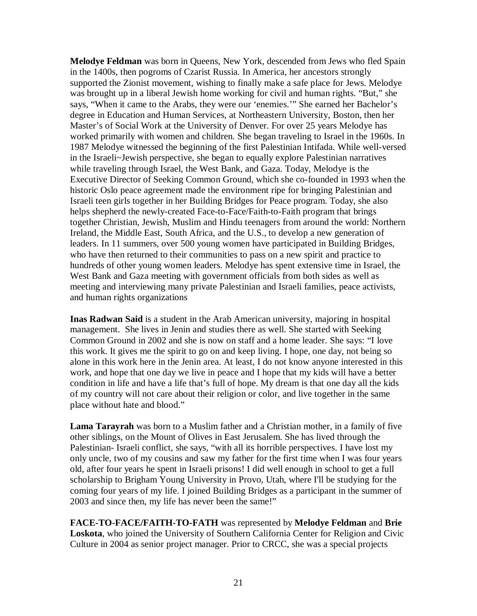**Melodye Feldman** was born in Queens, New York, descended from Jews who fled Spain in the 1400s, then pogroms of Czarist Russia. In America, her ancestors strongly supported the Zionist movement, wishing to finally make a safe place for Jews. Melodye was brought up in a liberal Jewish home working for civil and human rights. "But," she says, "When it came to the Arabs, they were our 'enemies.'" She earned her Bachelor's degree in Education and Human Services, at Northeastern University, Boston, then her Master's of Social Work at the University of Denver. For over 25 years Melodye has worked primarily with women and children. She began traveling to Israel in the 1960s. In 1987 Melodye witnessed the beginning of the first Palestinian Intifada. While well-versed in the Israeli~Jewish perspective, she began to equally explore Palestinian narratives while traveling through Israel, the West Bank, and Gaza. Today, Melodye is the Executive Director of Seeking Common Ground, which she co-founded in 1993 when the historic Oslo peace agreement made the environment ripe for bringing Palestinian and Israeli teen girls together in her Building Bridges for Peace program. Today, she also helps shepherd the newly-created Face-to-Face/Faith-to-Faith program that brings together Christian, Jewish, Muslim and Hindu teenagers from around the world: Northern Ireland, the Middle East, South Africa, and the U.S., to develop a new generation of leaders. In 11 summers, over 500 young women have participated in Building Bridges, who have then returned to their communities to pass on a new spirit and practice to hundreds of other young women leaders. Melodye has spent extensive time in Israel, the West Bank and Gaza meeting with government officials from both sides as well as meeting and interviewing many private Palestinian and Israeli families, peace activists, and human rights organizations

**Inas Radwan Said** is a student in the Arab American university, majoring in hospital management. She lives in Jenin and studies there as well. She started with Seeking Common Ground in 2002 and she is now on staff and a home leader. She says: "I love this work. It gives me the spirit to go on and keep living. I hope, one day, not being so alone in this work here in the Jenin area. At least, I do not know anyone interested in this work, and hope that one day we live in peace and I hope that my kids will have a better condition in life and have a life that's full of hope. My dream is that one day all the kids of my country will not care about their religion or color, and live together in the same place without hate and blood."

**Lama Tarayrah** was born to a Muslim father and a Christian mother, in a family of five other siblings, on the Mount of Olives in East Jerusalem. She has lived through the Palestinian- Israeli conflict, she says, "with all its horrible perspectives. I have lost my only uncle, two of my cousins and saw my father for the first time when I was four years old, after four years he spent in Israeli prisons! I did well enough in school to get a full scholarship to Brigham Young University in Provo, Utah, where I'll be studying for the coming four years of my life. I joined Building Bridges as a participant in the summer of 2003 and since then, my life has never been the same!"

**FACE-TO-FACE/FAITH-TO-FATH** was represented by **Melodye Feldman** and **Brie Loskota**, who joined the University of Southern California Center for Religion and Civic Culture in 2004 as senior project manager. Prior to CRCC, she was a special projects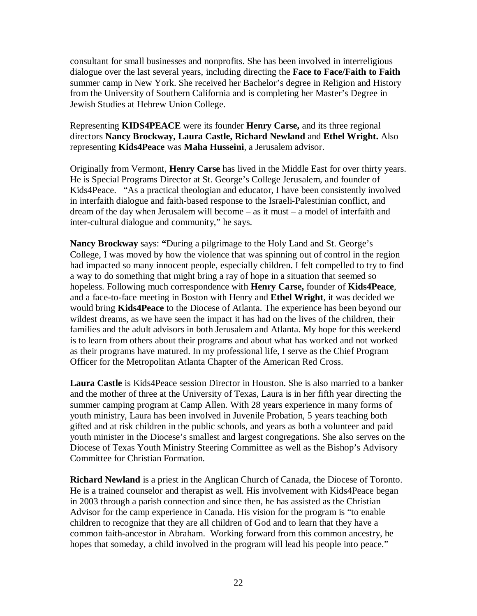consultant for small businesses and nonprofits. She has been involved in interreligious dialogue over the last several years, including directing the **Face to Face/Faith to Faith** summer camp in New York. She received her Bachelor's degree in Religion and History from the University of Southern California and is completing her Master's Degree in Jewish Studies at Hebrew Union College.

### Representing **KIDS4PEACE** were its founder **Henry Carse,** and its three regional directors **Nancy Brockway, Laura Castle, Richard Newland** and **Ethel Wright.** Also representing **Kids4Peace** was **Maha Husseini**, a Jerusalem advisor.

Originally from Vermont, **Henry Carse** has lived in the Middle East for over thirty years. He is Special Programs Director at St. George's College Jerusalem, and founder of Kids4Peace. "As a practical theologian and educator, I have been consistently involved in interfaith dialogue and faith-based response to the Israeli-Palestinian conflict, and dream of the day when Jerusalem will become – as it must – a model of interfaith and inter-cultural dialogue and community," he says.

**Nancy Brockway** says: **"**During a pilgrimage to the Holy Land and St. George's College, I was moved by how the violence that was spinning out of control in the region had impacted so many innocent people, especially children. I felt compelled to try to find a way to do something that might bring a ray of hope in a situation that seemed so hopeless. Following much correspondence with **Henry Carse,** founder of **Kids4Peace**, and a face-to-face meeting in Boston with Henry and **Ethel Wright**, it was decided we would bring **Kids4Peace** to the Diocese of Atlanta. The experience has been beyond our wildest dreams, as we have seen the impact it has had on the lives of the children, their families and the adult advisors in both Jerusalem and Atlanta. My hope for this weekend is to learn from others about their programs and about what has worked and not worked as their programs have matured. In my professional life, I serve as the Chief Program Officer for the Metropolitan Atlanta Chapter of the American Red Cross.

**Laura Castle** is Kids4Peace session Director in Houston. She is also married to a banker and the mother of three at the University of Texas, Laura is in her fifth year directing the summer camping program at Camp Allen. With 28 years experience in many forms of youth ministry, Laura has been involved in Juvenile Probation, 5 years teaching both gifted and at risk children in the public schools, and years as both a volunteer and paid youth minister in the Diocese's smallest and largest congregations. She also serves on the Diocese of Texas Youth Ministry Steering Committee as well as the Bishop's Advisory Committee for Christian Formation.

**Richard Newland** is a priest in the Anglican Church of Canada, the Diocese of Toronto. He is a trained counselor and therapist as well. His involvement with Kids4Peace began in 2003 through a parish connection and since then, he has assisted as the Christian Advisor for the camp experience in Canada. His vision for the program is "to enable children to recognize that they are all children of God and to learn that they have a common faith-ancestor in Abraham. Working forward from this common ancestry, he hopes that someday, a child involved in the program will lead his people into peace."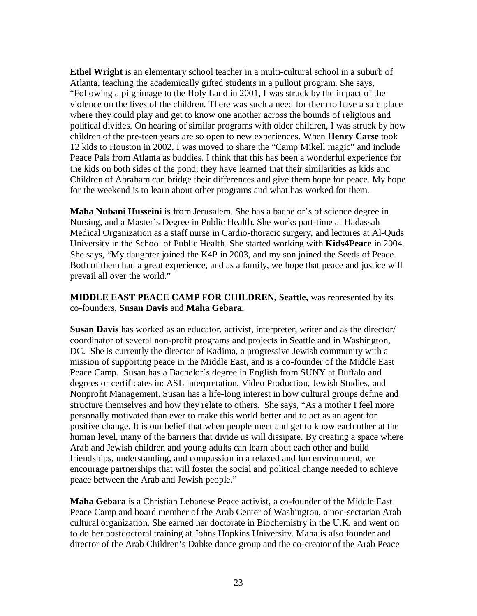**Ethel Wright** is an elementary school teacher in a multi-cultural school in a suburb of Atlanta, teaching the academically gifted students in a pullout program. She says, "Following a pilgrimage to the Holy Land in 2001, I was struck by the impact of the violence on the lives of the children. There was such a need for them to have a safe place where they could play and get to know one another across the bounds of religious and political divides. On hearing of similar programs with older children, I was struck by how children of the pre-teen years are so open to new experiences. When **Henry Carse** took 12 kids to Houston in 2002, I was moved to share the "Camp Mikell magic" and include Peace Pals from Atlanta as buddies. I think that this has been a wonderful experience for the kids on both sides of the pond; they have learned that their similarities as kids and Children of Abraham can bridge their differences and give them hope for peace. My hope for the weekend is to learn about other programs and what has worked for them.

**Maha Nubani Husseini** is from Jerusalem. She has a bachelor's of science degree in Nursing, and a Master's Degree in Public Health. She works part-time at Hadassah Medical Organization as a staff nurse in Cardio-thoracic surgery, and lectures at Al-Quds University in the School of Public Health. She started working with **Kids4Peace** in 2004. She says, "My daughter joined the K4P in 2003, and my son joined the Seeds of Peace. Both of them had a great experience, and as a family, we hope that peace and justice will prevail all over the world."

#### **MIDDLE EAST PEACE CAMP FOR CHILDREN, Seattle,** was represented by its co-founders, **Susan Davis** and **Maha Gebara.**

**Susan Davis** has worked as an educator, activist, interpreter, writer and as the director/ coordinator of several non-profit programs and projects in Seattle and in Washington, DC. She is currently the director of Kadima, a progressive Jewish community with a mission of supporting peace in the Middle East, and is a co-founder of the Middle East Peace Camp. Susan has a Bachelor's degree in English from SUNY at Buffalo and degrees or certificates in: ASL interpretation, Video Production, Jewish Studies, and Nonprofit Management. Susan has a life-long interest in how cultural groups define and structure themselves and how they relate to others. She says, "As a mother I feel more personally motivated than ever to make this world better and to act as an agent for positive change. It is our belief that when people meet and get to know each other at the human level, many of the barriers that divide us will dissipate. By creating a space where Arab and Jewish children and young adults can learn about each other and build friendships, understanding, and compassion in a relaxed and fun environment, we encourage partnerships that will foster the social and political change needed to achieve peace between the Arab and Jewish people."

**Maha Gebara** is a Christian Lebanese Peace activist, a co-founder of the Middle East Peace Camp and board member of the Arab Center of Washington, a non-sectarian Arab cultural organization. She earned her doctorate in Biochemistry in the U.K. and went on to do her postdoctoral training at Johns Hopkins University. Maha is also founder and director of the Arab Children's Dabke dance group and the co-creator of the Arab Peace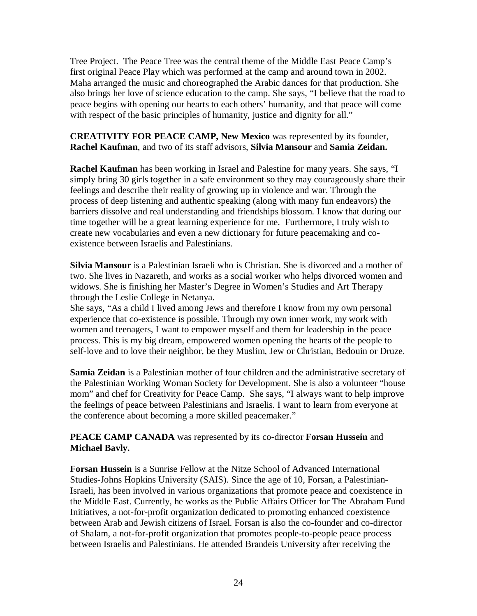Tree Project. The Peace Tree was the central theme of the Middle East Peace Camp's first original Peace Play which was performed at the camp and around town in 2002. Maha arranged the music and choreographed the Arabic dances for that production. She also brings her love of science education to the camp. She says, "I believe that the road to peace begins with opening our hearts to each others' humanity, and that peace will come with respect of the basic principles of humanity, justice and dignity for all."

### **CREATIVITY FOR PEACE CAMP, New Mexico** was represented by its founder, **Rachel Kaufman**, and two of its staff advisors, **Silvia Mansour** and **Samia Zeidan.**

**Rachel Kaufman** has been working in Israel and Palestine for many years. She says, "I simply bring 30 girls together in a safe environment so they may courageously share their feelings and describe their reality of growing up in violence and war. Through the process of deep listening and authentic speaking (along with many fun endeavors) the barriers dissolve and real understanding and friendships blossom. I know that during our time together will be a great learning experience for me. Furthermore, I truly wish to create new vocabularies and even a new dictionary for future peacemaking and coexistence between Israelis and Palestinians.

**Silvia Mansour** is a Palestinian Israeli who is Christian. She is divorced and a mother of two. She lives in Nazareth, and works as a social worker who helps divorced women and widows. She is finishing her Master's Degree in Women's Studies and Art Therapy through the Leslie College in Netanya.

She says, "As a child I lived among Jews and therefore I know from my own personal experience that co-existence is possible. Through my own inner work, my work with women and teenagers, I want to empower myself and them for leadership in the peace process. This is my big dream, empowered women opening the hearts of the people to self-love and to love their neighbor, be they Muslim, Jew or Christian, Bedouin or Druze.

**Samia Zeidan** is a Palestinian mother of four children and the administrative secretary of the Palestinian Working Woman Society for Development. She is also a volunteer "house mom" and chef for Creativity for Peace Camp. She says, "I always want to help improve the feelings of peace between Palestinians and Israelis. I want to learn from everyone at the conference about becoming a more skilled peacemaker."

**PEACE CAMP CANADA** was represented by its co-director **Forsan Hussein** and **Michael Bavly.** 

**Forsan Hussein** is a Sunrise Fellow at the Nitze School of Advanced International Studies-Johns Hopkins University (SAIS). Since the age of 10, Forsan, a Palestinian-Israeli, has been involved in various organizations that promote peace and coexistence in the Middle East. Currently, he works as the Public Affairs Officer for The Abraham Fund Initiatives, a not-for-profit organization dedicated to promoting enhanced coexistence between Arab and Jewish citizens of Israel. Forsan is also the co-founder and co-director of Shalam, a not-for-profit organization that promotes people-to-people peace process between Israelis and Palestinians. He attended Brandeis University after receiving the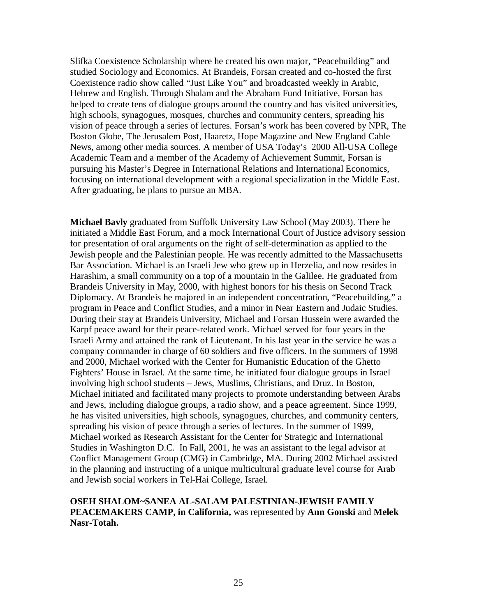Slifka Coexistence Scholarship where he created his own major, "Peacebuilding" and studied Sociology and Economics. At Brandeis, Forsan created and co-hosted the first Coexistence radio show called "Just Like You" and broadcasted weekly in Arabic, Hebrew and English. Through Shalam and the Abraham Fund Initiative, Forsan has helped to create tens of dialogue groups around the country and has visited universities, high schools, synagogues, mosques, churches and community centers, spreading his vision of peace through a series of lectures. Forsan's work has been covered by NPR, The Boston Globe, The Jerusalem Post, Haaretz, Hope Magazine and New England Cable News, among other media sources. A member of USA Today's 2000 All-USA College Academic Team and a member of the Academy of Achievement Summit, Forsan is pursuing his Master's Degree in International Relations and International Economics, focusing on international development with a regional specialization in the Middle East. After graduating, he plans to pursue an MBA.

**Michael Bavly** graduated from Suffolk University Law School (May 2003). There he initiated a Middle East Forum, and a mock International Court of Justice advisory session for presentation of oral arguments on the right of self-determination as applied to the Jewish people and the Palestinian people. He was recently admitted to the Massachusetts Bar Association. Michael is an Israeli Jew who grew up in Herzelia, and now resides in Harashim, a small community on a top of a mountain in the Galilee. He graduated from Brandeis University in May, 2000, with highest honors for his thesis on Second Track Diplomacy. At Brandeis he majored in an independent concentration, "Peacebuilding," a program in Peace and Conflict Studies, and a minor in Near Eastern and Judaic Studies. During their stay at Brandeis University, Michael and Forsan Hussein were awarded the Karpf peace award for their peace-related work. Michael served for four years in the Israeli Army and attained the rank of Lieutenant. In his last year in the service he was a company commander in charge of 60 soldiers and five officers. In the summers of 1998 and 2000, Michael worked with the Center for Humanistic Education of the Ghetto Fighters' House in Israel. At the same time, he initiated four dialogue groups in Israel involving high school students – Jews, Muslims, Christians, and Druz. In Boston, Michael initiated and facilitated many projects to promote understanding between Arabs and Jews, including dialogue groups, a radio show, and a peace agreement. Since 1999, he has visited universities, high schools, synagogues, churches, and community centers, spreading his vision of peace through a series of lectures. In the summer of 1999, Michael worked as Research Assistant for the Center for Strategic and International Studies in Washington D.C. In Fall, 2001, he was an assistant to the legal advisor at Conflict Management Group (CMG) in Cambridge, MA. During 2002 Michael assisted in the planning and instructing of a unique multicultural graduate level course for Arab and Jewish social workers in Tel-Hai College, Israel.

#### **OSEH SHALOM~SANEA AL-SALAM PALESTINIAN-JEWISH FAMILY PEACEMAKERS CAMP, in California,** was represented by **Ann Gonski** and **Melek Nasr-Totah.**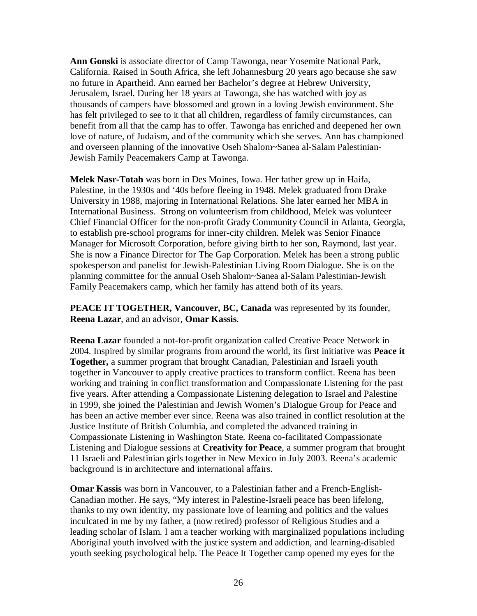**Ann Gonski** is associate director of Camp Tawonga, near Yosemite National Park, California. Raised in South Africa, she left Johannesburg 20 years ago because she saw no future in Apartheid. Ann earned her Bachelor's degree at Hebrew University, Jerusalem, Israel. During her 18 years at Tawonga, she has watched with joy as thousands of campers have blossomed and grown in a loving Jewish environment. She has felt privileged to see to it that all children, regardless of family circumstances, can benefit from all that the camp has to offer. Tawonga has enriched and deepened her own love of nature, of Judaism, and of the community which she serves. Ann has championed and overseen planning of the innovative Oseh Shalom~Sanea al-Salam Palestinian-Jewish Family Peacemakers Camp at Tawonga.

**Melek Nasr-Totah** was born in Des Moines, Iowa. Her father grew up in Haifa, Palestine, in the 1930s and '40s before fleeing in 1948. Melek graduated from Drake University in 1988, majoring in International Relations. She later earned her MBA in International Business. Strong on volunteerism from childhood, Melek was volunteer Chief Financial Officer for the non-profit Grady Community Council in Atlanta, Georgia, to establish pre-school programs for inner-city children. Melek was Senior Finance Manager for Microsoft Corporation, before giving birth to her son, Raymond, last year. She is now a Finance Director for The Gap Corporation. Melek has been a strong public spokesperson and panelist for Jewish-Palestinian Living Room Dialogue. She is on the planning committee for the annual Oseh Shalom~Sanea al-Salam Palestinian-Jewish Family Peacemakers camp, which her family has attend both of its years.

**PEACE IT TOGETHER, Vancouver, BC, Canada** was represented by its founder, **Reena Lazar**, and an advisor, **Omar Kassis**.

**Reena Lazar** founded a not-for-profit organization called Creative Peace Network in 2004. Inspired by similar programs from around the world, its first initiative was **Peace it Together,** a summer program that brought Canadian, Palestinian and Israeli youth together in Vancouver to apply creative practices to transform conflict. Reena has been working and training in conflict transformation and Compassionate Listening for the past five years. After attending a Compassionate Listening delegation to Israel and Palestine in 1999, she joined the Palestinian and Jewish Women's Dialogue Group for Peace and has been an active member ever since. Reena was also trained in conflict resolution at the Justice Institute of British Columbia, and completed the advanced training in Compassionate Listening in Washington State. Reena co-facilitated Compassionate Listening and Dialogue sessions at **Creativity for Peace**, a summer program that brought 11 Israeli and Palestinian girls together in New Mexico in July 2003. Reena's academic background is in architecture and international affairs.

**Omar Kassis** was born in Vancouver, to a Palestinian father and a French-English-Canadian mother. He says, "My interest in Palestine-Israeli peace has been lifelong, thanks to my own identity, my passionate love of learning and politics and the values inculcated in me by my father, a (now retired) professor of Religious Studies and a leading scholar of Islam. I am a teacher working with marginalized populations including Aboriginal youth involved with the justice system and addiction, and learning-disabled youth seeking psychological help. The Peace It Together camp opened my eyes for the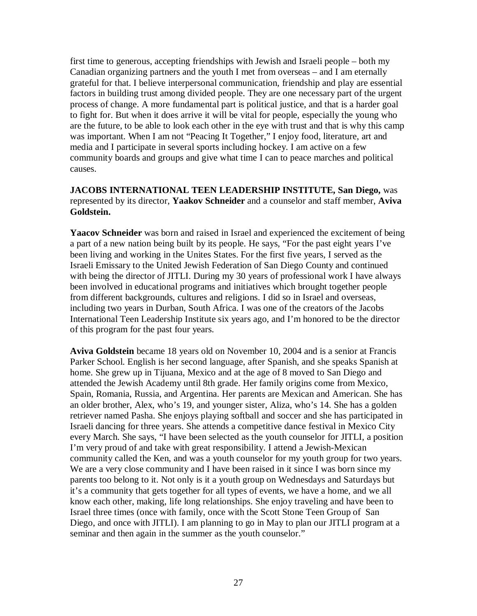first time to generous, accepting friendships with Jewish and Israeli people – both my Canadian organizing partners and the youth I met from overseas – and I am eternally grateful for that. I believe interpersonal communication, friendship and play are essential factors in building trust among divided people. They are one necessary part of the urgent process of change. A more fundamental part is political justice, and that is a harder goal to fight for. But when it does arrive it will be vital for people, especially the young who are the future, to be able to look each other in the eye with trust and that is why this camp was important. When I am not "Peacing It Together," I enjoy food, literature, art and media and I participate in several sports including hockey. I am active on a few community boards and groups and give what time I can to peace marches and political causes.

#### **JACOBS INTERNATIONAL TEEN LEADERSHIP INSTITUTE, San Diego,** was represented by its director, **Yaakov Schneider** and a counselor and staff member, **Aviva Goldstein.**

**Yaacov Schneider** was born and raised in Israel and experienced the excitement of being a part of a new nation being built by its people. He says, "For the past eight years I've been living and working in the Unites States. For the first five years, I served as the Israeli Emissary to the United Jewish Federation of San Diego County and continued with being the director of JITLI. During my 30 years of professional work I have always been involved in educational programs and initiatives which brought together people from different backgrounds, cultures and religions. I did so in Israel and overseas, including two years in Durban, South Africa. I was one of the creators of the Jacobs International Teen Leadership Institute six years ago, and I'm honored to be the director of this program for the past four years.

**Aviva Goldstein** became 18 years old on November 10, 2004 and is a senior at Francis Parker School. English is her second language, after Spanish, and she speaks Spanish at home. She grew up in Tijuana, Mexico and at the age of 8 moved to San Diego and attended the Jewish Academy until 8th grade. Her family origins come from Mexico, Spain, Romania, Russia, and Argentina. Her parents are Mexican and American. She has an older brother, Alex, who's 19, and younger sister, Aliza, who's 14. She has a golden retriever named Pasha. She enjoys playing softball and soccer and she has participated in Israeli dancing for three years. She attends a competitive dance festival in Mexico City every March. She says, "I have been selected as the youth counselor for JITLI, a position I'm very proud of and take with great responsibility. I attend a Jewish-Mexican community called the Ken, and was a youth counselor for my youth group for two years. We are a very close community and I have been raised in it since I was born since my parents too belong to it. Not only is it a youth group on Wednesdays and Saturdays but it's a community that gets together for all types of events, we have a home, and we all know each other, making, life long relationships. She enjoy traveling and have been to Israel three times (once with family, once with the Scott Stone Teen Group of San Diego, and once with JITLI). I am planning to go in May to plan our JITLI program at a seminar and then again in the summer as the youth counselor."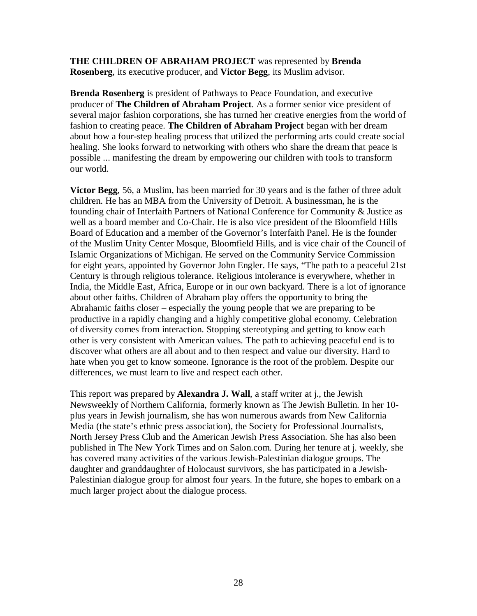**THE CHILDREN OF ABRAHAM PROJECT** was represented by **Brenda Rosenberg**, its executive producer, and **Victor Begg**, its Muslim advisor.

**Brenda Rosenberg** is president of Pathways to Peace Foundation, and executive producer of **The Children of Abraham Project**. As a former senior vice president of several major fashion corporations, she has turned her creative energies from the world of fashion to creating peace. **The Children of Abraham Project** began with her dream about how a four-step healing process that utilized the performing arts could create social healing. She looks forward to networking with others who share the dream that peace is possible ... manifesting the dream by empowering our children with tools to transform our world.

**Victor Begg**, 56, a Muslim, has been married for 30 years and is the father of three adult children. He has an MBA from the University of Detroit. A businessman, he is the founding chair of Interfaith Partners of National Conference for Community & Justice as well as a board member and Co-Chair. He is also vice president of the Bloomfield Hills Board of Education and a member of the Governor's Interfaith Panel. He is the founder of the Muslim Unity Center Mosque, Bloomfield Hills, and is vice chair of the Council of Islamic Organizations of Michigan. He served on the Community Service Commission for eight years, appointed by Governor John Engler. He says, "The path to a peaceful 21st Century is through religious tolerance. Religious intolerance is everywhere, whether in India, the Middle East, Africa, Europe or in our own backyard. There is a lot of ignorance about other faiths. Children of Abraham play offers the opportunity to bring the Abrahamic faiths closer – especially the young people that we are preparing to be productive in a rapidly changing and a highly competitive global economy. Celebration of diversity comes from interaction. Stopping stereotyping and getting to know each other is very consistent with American values. The path to achieving peaceful end is to discover what others are all about and to then respect and value our diversity. Hard to hate when you get to know someone. Ignorance is the root of the problem. Despite our differences, we must learn to live and respect each other.

This report was prepared by **Alexandra J. Wall**, a staff writer at j., the Jewish Newsweekly of Northern California, formerly known as The Jewish Bulletin. In her 10 plus years in Jewish journalism, she has won numerous awards from New California Media (the state's ethnic press association), the Society for Professional Journalists, North Jersey Press Club and the American Jewish Press Association. She has also been published in The New York Times and on Salon.com. During her tenure at j. weekly, she has covered many activities of the various Jewish-Palestinian dialogue groups. The daughter and granddaughter of Holocaust survivors, she has participated in a Jewish-Palestinian dialogue group for almost four years. In the future, she hopes to embark on a much larger project about the dialogue process.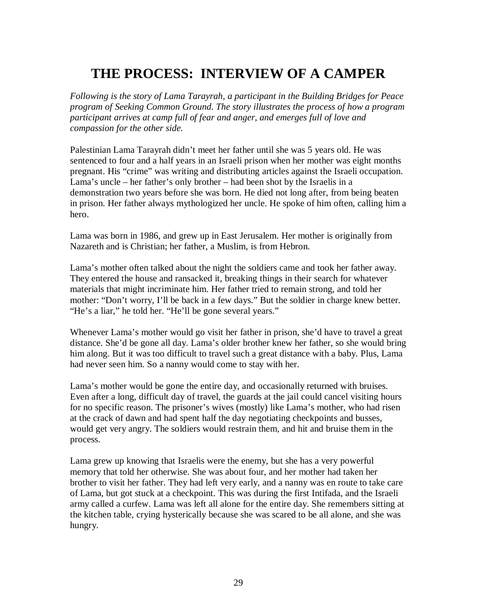# **THE PROCESS: INTERVIEW OF A CAMPER**

*Following is the story of Lama Tarayrah, a participant in the Building Bridges for Peace program of Seeking Common Ground. The story illustrates the process of how a program participant arrives at camp full of fear and anger, and emerges full of love and compassion for the other side.* 

Palestinian Lama Tarayrah didn't meet her father until she was 5 years old. He was sentenced to four and a half years in an Israeli prison when her mother was eight months pregnant. His "crime" was writing and distributing articles against the Israeli occupation. Lama's uncle – her father's only brother – had been shot by the Israelis in a demonstration two years before she was born. He died not long after, from being beaten in prison. Her father always mythologized her uncle. He spoke of him often, calling him a hero.

Lama was born in 1986, and grew up in East Jerusalem. Her mother is originally from Nazareth and is Christian; her father, a Muslim, is from Hebron.

Lama's mother often talked about the night the soldiers came and took her father away. They entered the house and ransacked it, breaking things in their search for whatever materials that might incriminate him. Her father tried to remain strong, and told her mother: "Don't worry, I'll be back in a few days." But the soldier in charge knew better. "He's a liar," he told her. "He'll be gone several years."

Whenever Lama's mother would go visit her father in prison, she'd have to travel a great distance. She'd be gone all day. Lama's older brother knew her father, so she would bring him along. But it was too difficult to travel such a great distance with a baby. Plus, Lama had never seen him. So a nanny would come to stay with her.

Lama's mother would be gone the entire day, and occasionally returned with bruises. Even after a long, difficult day of travel, the guards at the jail could cancel visiting hours for no specific reason. The prisoner's wives (mostly) like Lama's mother, who had risen at the crack of dawn and had spent half the day negotiating checkpoints and busses, would get very angry. The soldiers would restrain them, and hit and bruise them in the process.

Lama grew up knowing that Israelis were the enemy, but she has a very powerful memory that told her otherwise. She was about four, and her mother had taken her brother to visit her father. They had left very early, and a nanny was en route to take care of Lama, but got stuck at a checkpoint. This was during the first Intifada, and the Israeli army called a curfew. Lama was left all alone for the entire day. She remembers sitting at the kitchen table, crying hysterically because she was scared to be all alone, and she was hungry.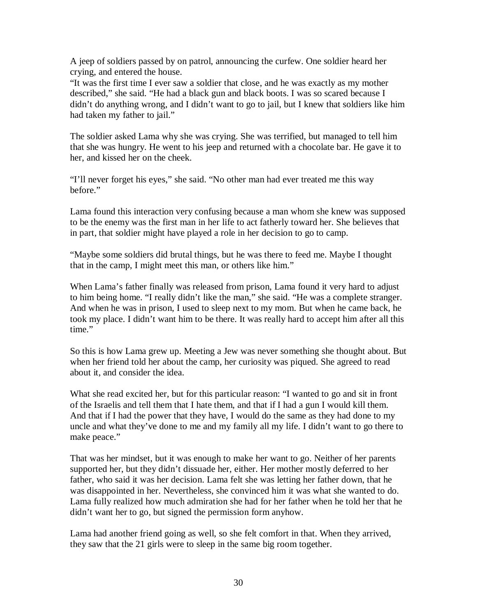A jeep of soldiers passed by on patrol, announcing the curfew. One soldier heard her crying, and entered the house.

"It was the first time I ever saw a soldier that close, and he was exactly as my mother described," she said. "He had a black gun and black boots. I was so scared because I didn't do anything wrong, and I didn't want to go to jail, but I knew that soldiers like him had taken my father to jail."

The soldier asked Lama why she was crying. She was terrified, but managed to tell him that she was hungry. He went to his jeep and returned with a chocolate bar. He gave it to her, and kissed her on the cheek.

"I'll never forget his eyes," she said. "No other man had ever treated me this way before."

Lama found this interaction very confusing because a man whom she knew was supposed to be the enemy was the first man in her life to act fatherly toward her. She believes that in part, that soldier might have played a role in her decision to go to camp.

"Maybe some soldiers did brutal things, but he was there to feed me. Maybe I thought that in the camp, I might meet this man, or others like him."

When Lama's father finally was released from prison, Lama found it very hard to adjust to him being home. "I really didn't like the man," she said. "He was a complete stranger. And when he was in prison, I used to sleep next to my mom. But when he came back, he took my place. I didn't want him to be there. It was really hard to accept him after all this time."

So this is how Lama grew up. Meeting a Jew was never something she thought about. But when her friend told her about the camp, her curiosity was piqued. She agreed to read about it, and consider the idea.

What she read excited her, but for this particular reason: "I wanted to go and sit in front of the Israelis and tell them that I hate them, and that if I had a gun I would kill them. And that if I had the power that they have, I would do the same as they had done to my uncle and what they've done to me and my family all my life. I didn't want to go there to make peace."

That was her mindset, but it was enough to make her want to go. Neither of her parents supported her, but they didn't dissuade her, either. Her mother mostly deferred to her father, who said it was her decision. Lama felt she was letting her father down, that he was disappointed in her. Nevertheless, she convinced him it was what she wanted to do. Lama fully realized how much admiration she had for her father when he told her that he didn't want her to go, but signed the permission form anyhow.

Lama had another friend going as well, so she felt comfort in that. When they arrived, they saw that the 21 girls were to sleep in the same big room together.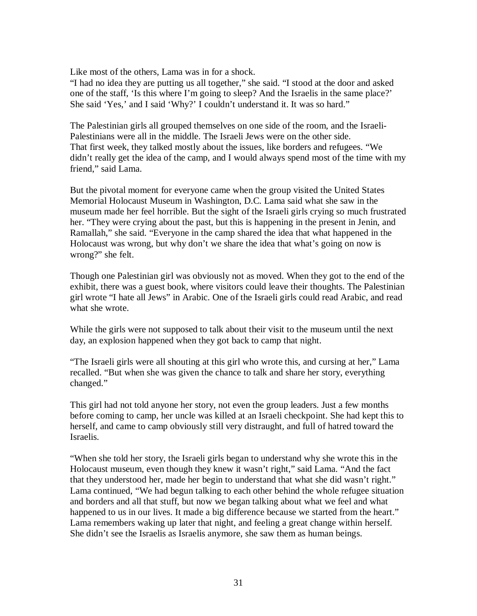Like most of the others, Lama was in for a shock.

"I had no idea they are putting us all together," she said. "I stood at the door and asked one of the staff, 'Is this where I'm going to sleep? And the Israelis in the same place?' She said 'Yes,' and I said 'Why?' I couldn't understand it. It was so hard."

The Palestinian girls all grouped themselves on one side of the room, and the Israeli-Palestinians were all in the middle. The Israeli Jews were on the other side. That first week, they talked mostly about the issues, like borders and refugees. "We didn't really get the idea of the camp, and I would always spend most of the time with my friend," said Lama.

But the pivotal moment for everyone came when the group visited the United States Memorial Holocaust Museum in Washington, D.C. Lama said what she saw in the museum made her feel horrible. But the sight of the Israeli girls crying so much frustrated her. "They were crying about the past, but this is happening in the present in Jenin, and Ramallah," she said. "Everyone in the camp shared the idea that what happened in the Holocaust was wrong, but why don't we share the idea that what's going on now is wrong?" she felt.

Though one Palestinian girl was obviously not as moved. When they got to the end of the exhibit, there was a guest book, where visitors could leave their thoughts. The Palestinian girl wrote "I hate all Jews" in Arabic. One of the Israeli girls could read Arabic, and read what she wrote.

While the girls were not supposed to talk about their visit to the museum until the next day, an explosion happened when they got back to camp that night.

"The Israeli girls were all shouting at this girl who wrote this, and cursing at her," Lama recalled. "But when she was given the chance to talk and share her story, everything changed."

This girl had not told anyone her story, not even the group leaders. Just a few months before coming to camp, her uncle was killed at an Israeli checkpoint. She had kept this to herself, and came to camp obviously still very distraught, and full of hatred toward the Israelis.

"When she told her story, the Israeli girls began to understand why she wrote this in the Holocaust museum, even though they knew it wasn't right," said Lama. "And the fact that they understood her, made her begin to understand that what she did wasn't right." Lama continued, "We had begun talking to each other behind the whole refugee situation and borders and all that stuff, but now we began talking about what we feel and what happened to us in our lives. It made a big difference because we started from the heart." Lama remembers waking up later that night, and feeling a great change within herself. She didn't see the Israelis as Israelis anymore, she saw them as human beings.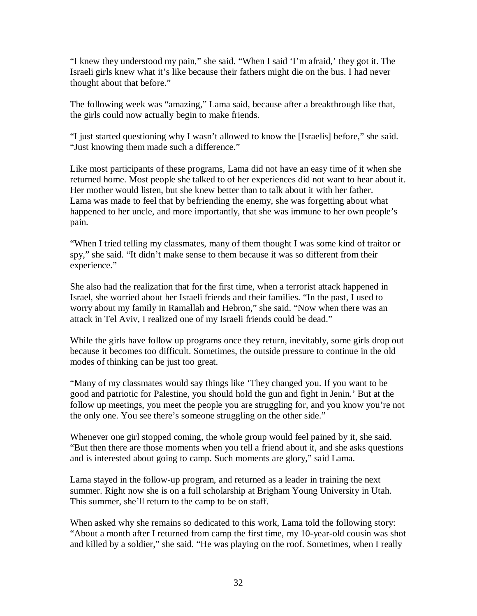"I knew they understood my pain," she said. "When I said 'I'm afraid,' they got it. The Israeli girls knew what it's like because their fathers might die on the bus. I had never thought about that before."

The following week was "amazing," Lama said, because after a breakthrough like that, the girls could now actually begin to make friends.

"I just started questioning why I wasn't allowed to know the [Israelis] before," she said. "Just knowing them made such a difference."

Like most participants of these programs, Lama did not have an easy time of it when she returned home. Most people she talked to of her experiences did not want to hear about it. Her mother would listen, but she knew better than to talk about it with her father. Lama was made to feel that by befriending the enemy, she was forgetting about what happened to her uncle, and more importantly, that she was immune to her own people's pain.

"When I tried telling my classmates, many of them thought I was some kind of traitor or spy," she said. "It didn't make sense to them because it was so different from their experience."

She also had the realization that for the first time, when a terrorist attack happened in Israel, she worried about her Israeli friends and their families. "In the past, I used to worry about my family in Ramallah and Hebron," she said. "Now when there was an attack in Tel Aviv, I realized one of my Israeli friends could be dead."

While the girls have follow up programs once they return, inevitably, some girls drop out because it becomes too difficult. Sometimes, the outside pressure to continue in the old modes of thinking can be just too great.

"Many of my classmates would say things like 'They changed you. If you want to be good and patriotic for Palestine, you should hold the gun and fight in Jenin.' But at the follow up meetings, you meet the people you are struggling for, and you know you're not the only one. You see there's someone struggling on the other side."

Whenever one girl stopped coming, the whole group would feel pained by it, she said. "But then there are those moments when you tell a friend about it, and she asks questions and is interested about going to camp. Such moments are glory," said Lama.

Lama stayed in the follow-up program, and returned as a leader in training the next summer. Right now she is on a full scholarship at Brigham Young University in Utah. This summer, she'll return to the camp to be on staff.

When asked why she remains so dedicated to this work, Lama told the following story: "About a month after I returned from camp the first time, my 10-year-old cousin was shot and killed by a soldier," she said. "He was playing on the roof. Sometimes, when I really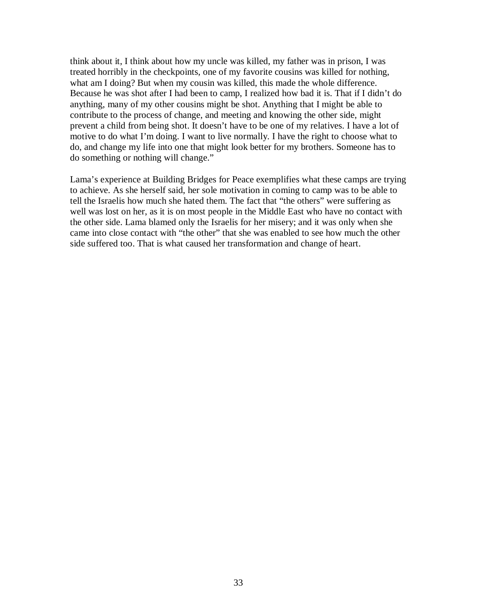think about it, I think about how my uncle was killed, my father was in prison, I was treated horribly in the checkpoints, one of my favorite cousins was killed for nothing, what am I doing? But when my cousin was killed, this made the whole difference. Because he was shot after I had been to camp, I realized how bad it is. That if I didn't do anything, many of my other cousins might be shot. Anything that I might be able to contribute to the process of change, and meeting and knowing the other side, might prevent a child from being shot. It doesn't have to be one of my relatives. I have a lot of motive to do what I'm doing. I want to live normally. I have the right to choose what to do, and change my life into one that might look better for my brothers. Someone has to do something or nothing will change."

Lama's experience at Building Bridges for Peace exemplifies what these camps are trying to achieve. As she herself said, her sole motivation in coming to camp was to be able to tell the Israelis how much she hated them. The fact that "the others" were suffering as well was lost on her, as it is on most people in the Middle East who have no contact with the other side. Lama blamed only the Israelis for her misery; and it was only when she came into close contact with "the other" that she was enabled to see how much the other side suffered too. That is what caused her transformation and change of heart.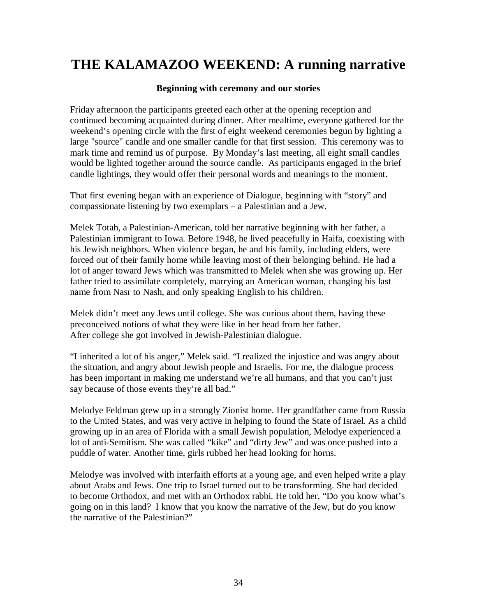# **THE KALAMAZOO WEEKEND: A running narrative**

#### **Beginning with ceremony and our stories**

Friday afternoon the participants greeted each other at the opening reception and continued becoming acquainted during dinner. After mealtime, everyone gathered for the weekend's opening circle with the first of eight weekend ceremonies begun by lighting a large "source" candle and one smaller candle for that first session. This ceremony was to mark time and remind us of purpose. By Monday's last meeting, all eight small candles would be lighted together around the source candle. As participants engaged in the brief candle lightings, they would offer their personal words and meanings to the moment.

That first evening began with an experience of Dialogue, beginning with "story" and compassionate listening by two exemplars – a Palestinian and a Jew.

Melek Totah, a Palestinian-American, told her narrative beginning with her father, a Palestinian immigrant to Iowa. Before 1948, he lived peacefully in Haifa, coexisting with his Jewish neighbors. When violence began, he and his family, including elders, were forced out of their family home while leaving most of their belonging behind. He had a lot of anger toward Jews which was transmitted to Melek when she was growing up. Her father tried to assimilate completely, marrying an American woman, changing his last name from Nasr to Nash, and only speaking English to his children.

Melek didn't meet any Jews until college. She was curious about them, having these preconceived notions of what they were like in her head from her father. After college she got involved in Jewish-Palestinian dialogue.

"I inherited a lot of his anger," Melek said. "I realized the injustice and was angry about the situation, and angry about Jewish people and Israelis. For me, the dialogue process has been important in making me understand we're all humans, and that you can't just say because of those events they're all bad."

Melodye Feldman grew up in a strongly Zionist home. Her grandfather came from Russia to the United States, and was very active in helping to found the State of Israel. As a child growing up in an area of Florida with a small Jewish population, Melodye experienced a lot of anti-Semitism. She was called "kike" and "dirty Jew" and was once pushed into a puddle of water. Another time, girls rubbed her head looking for horns.

Melodye was involved with interfaith efforts at a young age, and even helped write a play about Arabs and Jews. One trip to Israel turned out to be transforming. She had decided to become Orthodox, and met with an Orthodox rabbi. He told her, "Do you know what's going on in this land? I know that you know the narrative of the Jew, but do you know the narrative of the Palestinian?"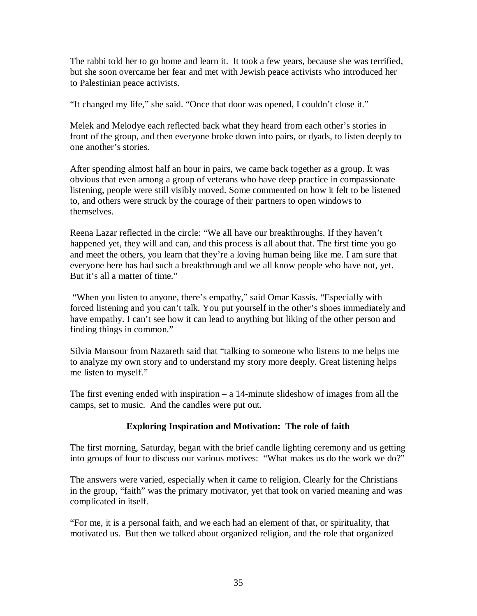The rabbi told her to go home and learn it. It took a few years, because she was terrified, but she soon overcame her fear and met with Jewish peace activists who introduced her to Palestinian peace activists.

"It changed my life," she said. "Once that door was opened, I couldn't close it."

Melek and Melodye each reflected back what they heard from each other's stories in front of the group, and then everyone broke down into pairs, or dyads, to listen deeply to one another's stories.

After spending almost half an hour in pairs, we came back together as a group. It was obvious that even among a group of veterans who have deep practice in compassionate listening, people were still visibly moved. Some commented on how it felt to be listened to, and others were struck by the courage of their partners to open windows to themselves.

Reena Lazar reflected in the circle: "We all have our breakthroughs. If they haven't happened yet, they will and can, and this process is all about that. The first time you go and meet the others, you learn that they're a loving human being like me. I am sure that everyone here has had such a breakthrough and we all know people who have not, yet. But it's all a matter of time."

 "When you listen to anyone, there's empathy," said Omar Kassis. "Especially with forced listening and you can't talk. You put yourself in the other's shoes immediately and have empathy. I can't see how it can lead to anything but liking of the other person and finding things in common."

Silvia Mansour from Nazareth said that "talking to someone who listens to me helps me to analyze my own story and to understand my story more deeply. Great listening helps me listen to myself."

The first evening ended with inspiration – a 14-minute slideshow of images from all the camps, set to music. And the candles were put out.

## **Exploring Inspiration and Motivation: The role of faith**

The first morning, Saturday, began with the brief candle lighting ceremony and us getting into groups of four to discuss our various motives: "What makes us do the work we do?"

The answers were varied, especially when it came to religion. Clearly for the Christians in the group, "faith" was the primary motivator, yet that took on varied meaning and was complicated in itself.

"For me, it is a personal faith, and we each had an element of that, or spirituality, that motivated us. But then we talked about organized religion, and the role that organized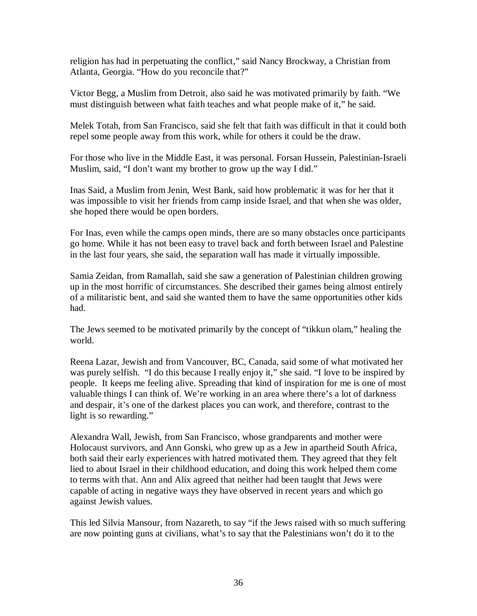religion has had in perpetuating the conflict," said Nancy Brockway, a Christian from Atlanta, Georgia. "How do you reconcile that?"

Victor Begg, a Muslim from Detroit, also said he was motivated primarily by faith. "We must distinguish between what faith teaches and what people make of it," he said.

Melek Totah, from San Francisco, said she felt that faith was difficult in that it could both repel some people away from this work, while for others it could be the draw.

For those who live in the Middle East, it was personal. Forsan Hussein, Palestinian-Israeli Muslim, said, "I don't want my brother to grow up the way I did."

Inas Said, a Muslim from Jenin, West Bank, said how problematic it was for her that it was impossible to visit her friends from camp inside Israel, and that when she was older, she hoped there would be open borders.

For Inas, even while the camps open minds, there are so many obstacles once participants go home. While it has not been easy to travel back and forth between Israel and Palestine in the last four years, she said, the separation wall has made it virtually impossible.

Samia Zeidan, from Ramallah, said she saw a generation of Palestinian children growing up in the most horrific of circumstances. She described their games being almost entirely of a militaristic bent, and said she wanted them to have the same opportunities other kids had.

The Jews seemed to be motivated primarily by the concept of "tikkun olam," healing the world.

Reena Lazar, Jewish and from Vancouver, BC, Canada, said some of what motivated her was purely selfish. "I do this because I really enjoy it," she said. "I love to be inspired by people. It keeps me feeling alive. Spreading that kind of inspiration for me is one of most valuable things I can think of. We're working in an area where there's a lot of darkness and despair, it's one of the darkest places you can work, and therefore, contrast to the light is so rewarding."

Alexandra Wall, Jewish, from San Francisco, whose grandparents and mother were Holocaust survivors, and Ann Gonski, who grew up as a Jew in apartheid South Africa, both said their early experiences with hatred motivated them. They agreed that they felt lied to about Israel in their childhood education, and doing this work helped them come to terms with that. Ann and Alix agreed that neither had been taught that Jews were capable of acting in negative ways they have observed in recent years and which go against Jewish values.

This led Silvia Mansour, from Nazareth, to say "if the Jews raised with so much suffering are now pointing guns at civilians, what's to say that the Palestinians won't do it to the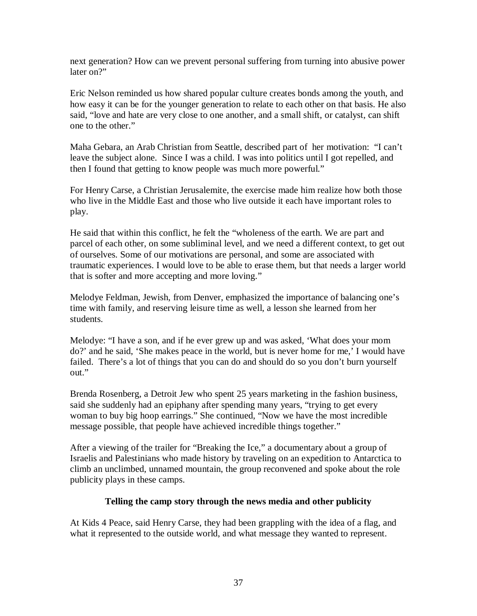next generation? How can we prevent personal suffering from turning into abusive power later on?"

Eric Nelson reminded us how shared popular culture creates bonds among the youth, and how easy it can be for the younger generation to relate to each other on that basis. He also said, "love and hate are very close to one another, and a small shift, or catalyst, can shift one to the other."

Maha Gebara, an Arab Christian from Seattle, described part of her motivation: "I can't leave the subject alone. Since I was a child. I was into politics until I got repelled, and then I found that getting to know people was much more powerful."

For Henry Carse, a Christian Jerusalemite, the exercise made him realize how both those who live in the Middle East and those who live outside it each have important roles to play.

He said that within this conflict, he felt the "wholeness of the earth. We are part and parcel of each other, on some subliminal level, and we need a different context, to get out of ourselves. Some of our motivations are personal, and some are associated with traumatic experiences. I would love to be able to erase them, but that needs a larger world that is softer and more accepting and more loving."

Melodye Feldman, Jewish, from Denver, emphasized the importance of balancing one's time with family, and reserving leisure time as well, a lesson she learned from her students.

Melodye: "I have a son, and if he ever grew up and was asked, 'What does your mom do?' and he said, 'She makes peace in the world, but is never home for me,' I would have failed. There's a lot of things that you can do and should do so you don't burn yourself out."

Brenda Rosenberg, a Detroit Jew who spent 25 years marketing in the fashion business, said she suddenly had an epiphany after spending many years, "trying to get every woman to buy big hoop earrings." She continued, "Now we have the most incredible message possible, that people have achieved incredible things together."

After a viewing of the trailer for "Breaking the Ice," a documentary about a group of Israelis and Palestinians who made history by traveling on an expedition to Antarctica to climb an unclimbed, unnamed mountain, the group reconvened and spoke about the role publicity plays in these camps.

### **Telling the camp story through the news media and other publicity**

At Kids 4 Peace, said Henry Carse, they had been grappling with the idea of a flag, and what it represented to the outside world, and what message they wanted to represent.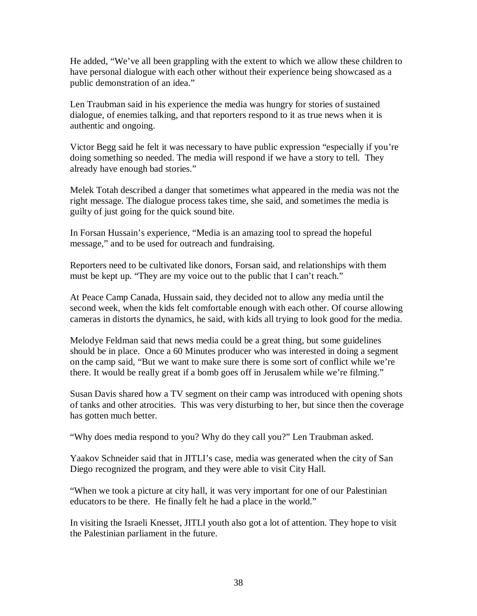He added, "We've all been grappling with the extent to which we allow these children to have personal dialogue with each other without their experience being showcased as a public demonstration of an idea."

Len Traubman said in his experience the media was hungry for stories of sustained dialogue, of enemies talking, and that reporters respond to it as true news when it is authentic and ongoing.

Victor Begg said he felt it was necessary to have public expression "especially if you're doing something so needed. The media will respond if we have a story to tell. They already have enough bad stories."

Melek Totah described a danger that sometimes what appeared in the media was not the right message. The dialogue process takes time, she said, and sometimes the media is guilty of just going for the quick sound bite.

In Forsan Hussain's experience, "Media is an amazing tool to spread the hopeful message," and to be used for outreach and fundraising.

Reporters need to be cultivated like donors, Forsan said, and relationships with them must be kept up. "They are my voice out to the public that I can't reach."

At Peace Camp Canada, Hussain said, they decided not to allow any media until the second week, when the kids felt comfortable enough with each other. Of course allowing cameras in distorts the dynamics, he said, with kids all trying to look good for the media.

Melodye Feldman said that news media could be a great thing, but some guidelines should be in place. Once a 60 Minutes producer who was interested in doing a segment on the camp said, "But we want to make sure there is some sort of conflict while we're there. It would be really great if a bomb goes off in Jerusalem while we're filming."

Susan Davis shared how a TV segment on their camp was introduced with opening shots of tanks and other atrocities. This was very disturbing to her, but since then the coverage has gotten much better.

"Why does media respond to you? Why do they call you?" Len Traubman asked.

Yaakov Schneider said that in JITLI's case, media was generated when the city of San Diego recognized the program, and they were able to visit City Hall.

"When we took a picture at city hall, it was very important for one of our Palestinian educators to be there. He finally felt he had a place in the world."

In visiting the Israeli Knesset, JITLI youth also got a lot of attention. They hope to visit the Palestinian parliament in the future.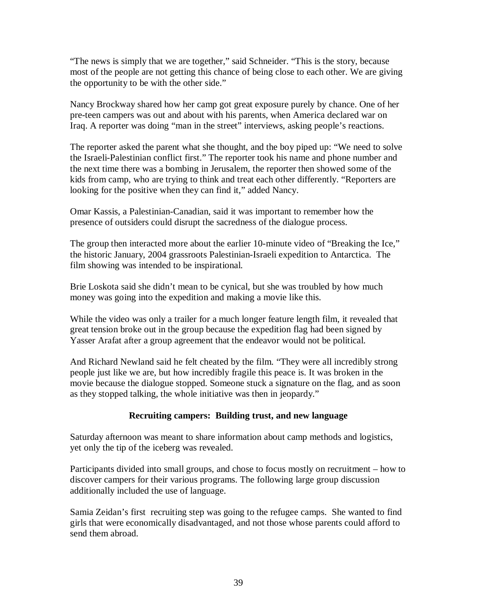"The news is simply that we are together," said Schneider. "This is the story, because most of the people are not getting this chance of being close to each other. We are giving the opportunity to be with the other side."

Nancy Brockway shared how her camp got great exposure purely by chance. One of her pre-teen campers was out and about with his parents, when America declared war on Iraq. A reporter was doing "man in the street" interviews, asking people's reactions.

The reporter asked the parent what she thought, and the boy piped up: "We need to solve the Israeli-Palestinian conflict first." The reporter took his name and phone number and the next time there was a bombing in Jerusalem, the reporter then showed some of the kids from camp, who are trying to think and treat each other differently. "Reporters are looking for the positive when they can find it," added Nancy.

Omar Kassis, a Palestinian-Canadian, said it was important to remember how the presence of outsiders could disrupt the sacredness of the dialogue process.

The group then interacted more about the earlier 10-minute video of "Breaking the Ice," the historic January, 2004 grassroots Palestinian-Israeli expedition to Antarctica. The film showing was intended to be inspirational.

Brie Loskota said she didn't mean to be cynical, but she was troubled by how much money was going into the expedition and making a movie like this.

While the video was only a trailer for a much longer feature length film, it revealed that great tension broke out in the group because the expedition flag had been signed by Yasser Arafat after a group agreement that the endeavor would not be political.

And Richard Newland said he felt cheated by the film. "They were all incredibly strong people just like we are, but how incredibly fragile this peace is. It was broken in the movie because the dialogue stopped. Someone stuck a signature on the flag, and as soon as they stopped talking, the whole initiative was then in jeopardy."

### **Recruiting campers: Building trust, and new language**

Saturday afternoon was meant to share information about camp methods and logistics, yet only the tip of the iceberg was revealed.

Participants divided into small groups, and chose to focus mostly on recruitment – how to discover campers for their various programs. The following large group discussion additionally included the use of language.

Samia Zeidan's first recruiting step was going to the refugee camps. She wanted to find girls that were economically disadvantaged, and not those whose parents could afford to send them abroad.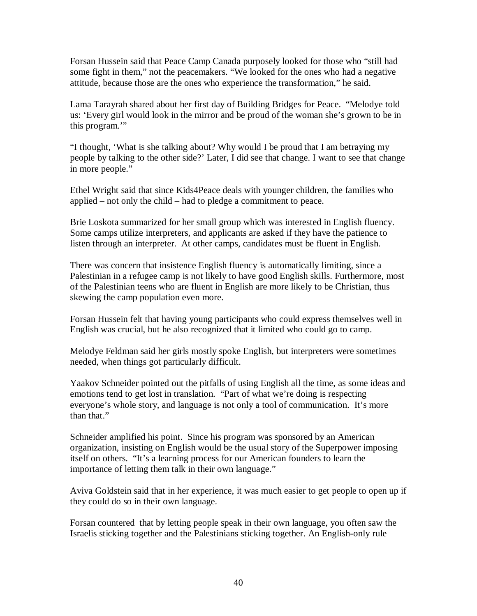Forsan Hussein said that Peace Camp Canada purposely looked for those who "still had some fight in them," not the peacemakers. "We looked for the ones who had a negative attitude, because those are the ones who experience the transformation," he said.

Lama Tarayrah shared about her first day of Building Bridges for Peace. "Melodye told us: 'Every girl would look in the mirror and be proud of the woman she's grown to be in this program."

"I thought, 'What is she talking about? Why would I be proud that I am betraying my people by talking to the other side?' Later, I did see that change. I want to see that change in more people."

Ethel Wright said that since Kids4Peace deals with younger children, the families who applied – not only the child – had to pledge a commitment to peace.

Brie Loskota summarized for her small group which was interested in English fluency. Some camps utilize interpreters, and applicants are asked if they have the patience to listen through an interpreter. At other camps, candidates must be fluent in English.

There was concern that insistence English fluency is automatically limiting, since a Palestinian in a refugee camp is not likely to have good English skills. Furthermore, most of the Palestinian teens who are fluent in English are more likely to be Christian, thus skewing the camp population even more.

Forsan Hussein felt that having young participants who could express themselves well in English was crucial, but he also recognized that it limited who could go to camp.

Melodye Feldman said her girls mostly spoke English, but interpreters were sometimes needed, when things got particularly difficult.

Yaakov Schneider pointed out the pitfalls of using English all the time, as some ideas and emotions tend to get lost in translation. "Part of what we're doing is respecting everyone's whole story, and language is not only a tool of communication. It's more than that."

Schneider amplified his point. Since his program was sponsored by an American organization, insisting on English would be the usual story of the Superpower imposing itself on others. "It's a learning process for our American founders to learn the importance of letting them talk in their own language."

Aviva Goldstein said that in her experience, it was much easier to get people to open up if they could do so in their own language.

Forsan countered that by letting people speak in their own language, you often saw the Israelis sticking together and the Palestinians sticking together. An English-only rule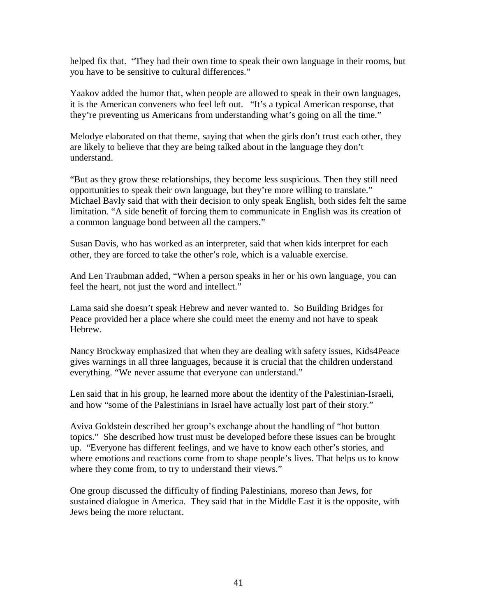helped fix that. "They had their own time to speak their own language in their rooms, but you have to be sensitive to cultural differences."

Yaakov added the humor that, when people are allowed to speak in their own languages, it is the American conveners who feel left out. "It's a typical American response, that they're preventing us Americans from understanding what's going on all the time."

Melodye elaborated on that theme, saying that when the girls don't trust each other, they are likely to believe that they are being talked about in the language they don't understand.

"But as they grow these relationships, they become less suspicious. Then they still need opportunities to speak their own language, but they're more willing to translate." Michael Bavly said that with their decision to only speak English, both sides felt the same limitation. "A side benefit of forcing them to communicate in English was its creation of a common language bond between all the campers."

Susan Davis, who has worked as an interpreter, said that when kids interpret for each other, they are forced to take the other's role, which is a valuable exercise.

And Len Traubman added, "When a person speaks in her or his own language, you can feel the heart, not just the word and intellect."

Lama said she doesn't speak Hebrew and never wanted to. So Building Bridges for Peace provided her a place where she could meet the enemy and not have to speak Hebrew.

Nancy Brockway emphasized that when they are dealing with safety issues, Kids4Peace gives warnings in all three languages, because it is crucial that the children understand everything. "We never assume that everyone can understand."

Len said that in his group, he learned more about the identity of the Palestinian-Israeli, and how "some of the Palestinians in Israel have actually lost part of their story."

Aviva Goldstein described her group's exchange about the handling of "hot button topics." She described how trust must be developed before these issues can be brought up. "Everyone has different feelings, and we have to know each other's stories, and where emotions and reactions come from to shape people's lives. That helps us to know where they come from, to try to understand their views."

One group discussed the difficulty of finding Palestinians, moreso than Jews, for sustained dialogue in America. They said that in the Middle East it is the opposite, with Jews being the more reluctant.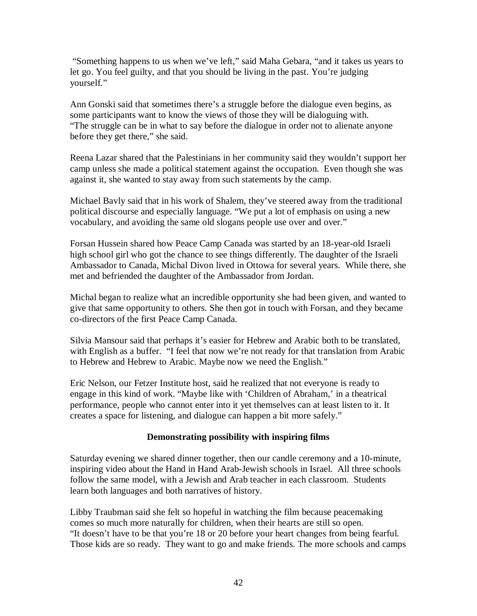"Something happens to us when we've left," said Maha Gebara, "and it takes us years to let go. You feel guilty, and that you should be living in the past. You're judging yourself."

Ann Gonski said that sometimes there's a struggle before the dialogue even begins, as some participants want to know the views of those they will be dialoguing with. "The struggle can be in what to say before the dialogue in order not to alienate anyone before they get there," she said.

Reena Lazar shared that the Palestinians in her community said they wouldn't support her camp unless she made a political statement against the occupation. Even though she was against it, she wanted to stay away from such statements by the camp.

Michael Bavly said that in his work of Shalem, they've steered away from the traditional political discourse and especially language. "We put a lot of emphasis on using a new vocabulary, and avoiding the same old slogans people use over and over."

Forsan Hussein shared how Peace Camp Canada was started by an 18-year-old Israeli high school girl who got the chance to see things differently. The daughter of the Israeli Ambassador to Canada, Michal Divon lived in Ottowa for several years. While there, she met and befriended the daughter of the Ambassador from Jordan.

Michal began to realize what an incredible opportunity she had been given, and wanted to give that same opportunity to others. She then got in touch with Forsan, and they became co-directors of the first Peace Camp Canada.

Silvia Mansour said that perhaps it's easier for Hebrew and Arabic both to be translated, with English as a buffer. "I feel that now we're not ready for that translation from Arabic to Hebrew and Hebrew to Arabic. Maybe now we need the English."

Eric Nelson, our Fetzer Institute host, said he realized that not everyone is ready to engage in this kind of work. "Maybe like with 'Children of Abraham,' in a theatrical performance, people who cannot enter into it yet themselves can at least listen to it. It creates a space for listening, and dialogue can happen a bit more safely."

### **Demonstrating possibility with inspiring films**

Saturday evening we shared dinner together, then our candle ceremony and a 10-minute, inspiring video about the Hand in Hand Arab-Jewish schools in Israel. All three schools follow the same model, with a Jewish and Arab teacher in each classroom. Students learn both languages and both narratives of history.

Libby Traubman said she felt so hopeful in watching the film because peacemaking comes so much more naturally for children, when their hearts are still so open. "It doesn't have to be that you're 18 or 20 before your heart changes from being fearful. Those kids are so ready. They want to go and make friends. The more schools and camps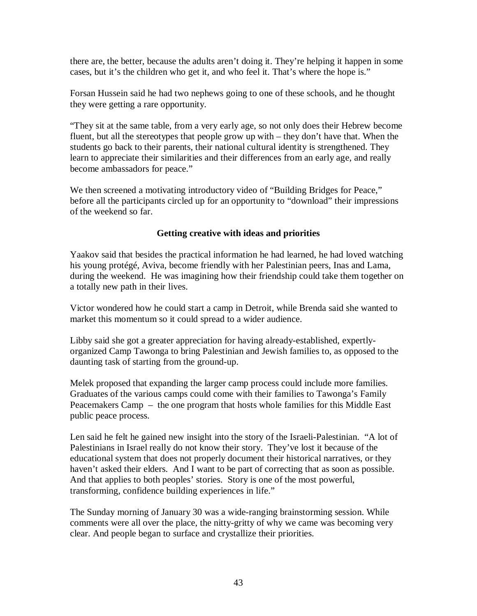there are, the better, because the adults aren't doing it. They're helping it happen in some cases, but it's the children who get it, and who feel it. That's where the hope is."

Forsan Hussein said he had two nephews going to one of these schools, and he thought they were getting a rare opportunity.

"They sit at the same table, from a very early age, so not only does their Hebrew become fluent, but all the stereotypes that people grow up with – they don't have that. When the students go back to their parents, their national cultural identity is strengthened. They learn to appreciate their similarities and their differences from an early age, and really become ambassadors for peace."

We then screened a motivating introductory video of "Building Bridges for Peace," before all the participants circled up for an opportunity to "download" their impressions of the weekend so far.

#### **Getting creative with ideas and priorities**

Yaakov said that besides the practical information he had learned, he had loved watching his young protégé, Aviva, become friendly with her Palestinian peers, Inas and Lama, during the weekend. He was imagining how their friendship could take them together on a totally new path in their lives.

Victor wondered how he could start a camp in Detroit, while Brenda said she wanted to market this momentum so it could spread to a wider audience.

Libby said she got a greater appreciation for having already-established, expertlyorganized Camp Tawonga to bring Palestinian and Jewish families to, as opposed to the daunting task of starting from the ground-up.

Melek proposed that expanding the larger camp process could include more families. Graduates of the various camps could come with their families to Tawonga's Family Peacemakers Camp – the one program that hosts whole families for this Middle East public peace process.

Len said he felt he gained new insight into the story of the Israeli-Palestinian. "A lot of Palestinians in Israel really do not know their story. They've lost it because of the educational system that does not properly document their historical narratives, or they haven't asked their elders. And I want to be part of correcting that as soon as possible. And that applies to both peoples' stories. Story is one of the most powerful, transforming, confidence building experiences in life."

The Sunday morning of January 30 was a wide-ranging brainstorming session. While comments were all over the place, the nitty-gritty of why we came was becoming very clear. And people began to surface and crystallize their priorities.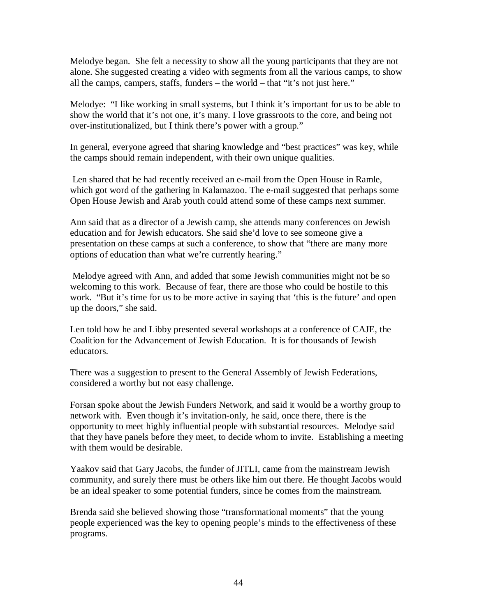Melodye began. She felt a necessity to show all the young participants that they are not alone. She suggested creating a video with segments from all the various camps, to show all the camps, campers, staffs, funders – the world – that "it's not just here."

Melodye: "I like working in small systems, but I think it's important for us to be able to show the world that it's not one, it's many. I love grassroots to the core, and being not over-institutionalized, but I think there's power with a group."

In general, everyone agreed that sharing knowledge and "best practices" was key, while the camps should remain independent, with their own unique qualities.

 Len shared that he had recently received an e-mail from the Open House in Ramle, which got word of the gathering in Kalamazoo. The e-mail suggested that perhaps some Open House Jewish and Arab youth could attend some of these camps next summer.

Ann said that as a director of a Jewish camp, she attends many conferences on Jewish education and for Jewish educators. She said she'd love to see someone give a presentation on these camps at such a conference, to show that "there are many more options of education than what we're currently hearing."

 Melodye agreed with Ann, and added that some Jewish communities might not be so welcoming to this work. Because of fear, there are those who could be hostile to this work. "But it's time for us to be more active in saying that 'this is the future' and open up the doors," she said.

Len told how he and Libby presented several workshops at a conference of CAJE, the Coalition for the Advancement of Jewish Education. It is for thousands of Jewish educators.

There was a suggestion to present to the General Assembly of Jewish Federations, considered a worthy but not easy challenge.

Forsan spoke about the Jewish Funders Network, and said it would be a worthy group to network with. Even though it's invitation-only, he said, once there, there is the opportunity to meet highly influential people with substantial resources. Melodye said that they have panels before they meet, to decide whom to invite. Establishing a meeting with them would be desirable.

Yaakov said that Gary Jacobs, the funder of JITLI, came from the mainstream Jewish community, and surely there must be others like him out there. He thought Jacobs would be an ideal speaker to some potential funders, since he comes from the mainstream.

Brenda said she believed showing those "transformational moments" that the young people experienced was the key to opening people's minds to the effectiveness of these programs.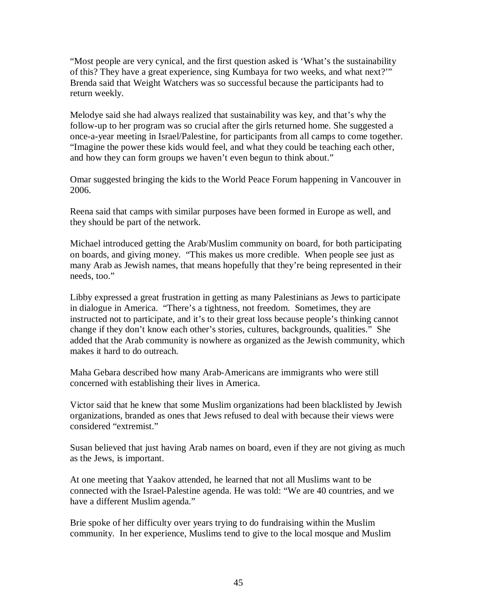"Most people are very cynical, and the first question asked is 'What's the sustainability of this? They have a great experience, sing Kumbaya for two weeks, and what next?'" Brenda said that Weight Watchers was so successful because the participants had to return weekly.

Melodye said she had always realized that sustainability was key, and that's why the follow-up to her program was so crucial after the girls returned home. She suggested a once-a-year meeting in Israel/Palestine, for participants from all camps to come together. "Imagine the power these kids would feel, and what they could be teaching each other, and how they can form groups we haven't even begun to think about."

Omar suggested bringing the kids to the World Peace Forum happening in Vancouver in 2006.

Reena said that camps with similar purposes have been formed in Europe as well, and they should be part of the network.

Michael introduced getting the Arab/Muslim community on board, for both participating on boards, and giving money. "This makes us more credible. When people see just as many Arab as Jewish names, that means hopefully that they're being represented in their needs, too."

Libby expressed a great frustration in getting as many Palestinians as Jews to participate in dialogue in America. "There's a tightness, not freedom. Sometimes, they are instructed not to participate, and it's to their great loss because people's thinking cannot change if they don't know each other's stories, cultures, backgrounds, qualities." She added that the Arab community is nowhere as organized as the Jewish community, which makes it hard to do outreach.

Maha Gebara described how many Arab-Americans are immigrants who were still concerned with establishing their lives in America.

Victor said that he knew that some Muslim organizations had been blacklisted by Jewish organizations, branded as ones that Jews refused to deal with because their views were considered "extremist."

Susan believed that just having Arab names on board, even if they are not giving as much as the Jews, is important.

At one meeting that Yaakov attended, he learned that not all Muslims want to be connected with the Israel-Palestine agenda. He was told: "We are 40 countries, and we have a different Muslim agenda."

Brie spoke of her difficulty over years trying to do fundraising within the Muslim community. In her experience, Muslims tend to give to the local mosque and Muslim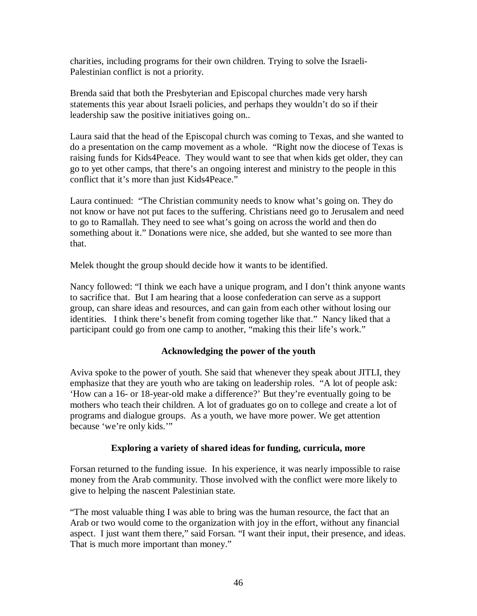charities, including programs for their own children. Trying to solve the Israeli-Palestinian conflict is not a priority.

Brenda said that both the Presbyterian and Episcopal churches made very harsh statements this year about Israeli policies, and perhaps they wouldn't do so if their leadership saw the positive initiatives going on..

Laura said that the head of the Episcopal church was coming to Texas, and she wanted to do a presentation on the camp movement as a whole. "Right now the diocese of Texas is raising funds for Kids4Peace. They would want to see that when kids get older, they can go to yet other camps, that there's an ongoing interest and ministry to the people in this conflict that it's more than just Kids4Peace."

Laura continued: "The Christian community needs to know what's going on. They do not know or have not put faces to the suffering. Christians need go to Jerusalem and need to go to Ramallah. They need to see what's going on across the world and then do something about it." Donations were nice, she added, but she wanted to see more than that.

Melek thought the group should decide how it wants to be identified.

Nancy followed: "I think we each have a unique program, and I don't think anyone wants to sacrifice that. But I am hearing that a loose confederation can serve as a support group, can share ideas and resources, and can gain from each other without losing our identities. I think there's benefit from coming together like that." Nancy liked that a participant could go from one camp to another, "making this their life's work."

### **Acknowledging the power of the youth**

Aviva spoke to the power of youth. She said that whenever they speak about JITLI, they emphasize that they are youth who are taking on leadership roles. "A lot of people ask: 'How can a 16- or 18-year-old make a difference?' But they're eventually going to be mothers who teach their children. A lot of graduates go on to college and create a lot of programs and dialogue groups. As a youth, we have more power. We get attention because 'we're only kids.'"

#### **Exploring a variety of shared ideas for funding, curricula, more**

Forsan returned to the funding issue. In his experience, it was nearly impossible to raise money from the Arab community. Those involved with the conflict were more likely to give to helping the nascent Palestinian state.

"The most valuable thing I was able to bring was the human resource, the fact that an Arab or two would come to the organization with joy in the effort, without any financial aspect. I just want them there," said Forsan. "I want their input, their presence, and ideas. That is much more important than money."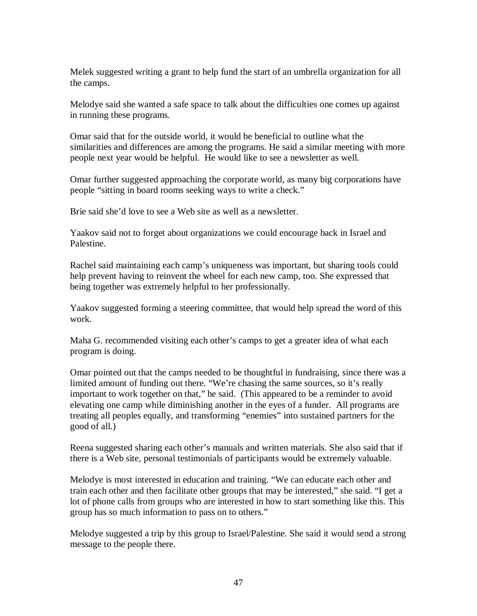Melek suggested writing a grant to help fund the start of an umbrella organization for all the camps.

Melodye said she wanted a safe space to talk about the difficulties one comes up against in running these programs.

Omar said that for the outside world, it would be beneficial to outline what the similarities and differences are among the programs. He said a similar meeting with more people next year would be helpful. He would like to see a newsletter as well.

Omar further suggested approaching the corporate world, as many big corporations have people "sitting in board rooms seeking ways to write a check."

Brie said she'd love to see a Web site as well as a newsletter.

Yaakov said not to forget about organizations we could encourage back in Israel and Palestine.

Rachel said maintaining each camp's uniqueness was important, but sharing tools could help prevent having to reinvent the wheel for each new camp, too. She expressed that being together was extremely helpful to her professionally.

Yaakov suggested forming a steering committee, that would help spread the word of this work.

Maha G. recommended visiting each other's camps to get a greater idea of what each program is doing.

Omar pointed out that the camps needed to be thoughtful in fundraising, since there was a limited amount of funding out there. "We're chasing the same sources, so it's really important to work together on that," he said. (This appeared to be a reminder to avoid elevating one camp while diminishing another in the eyes of a funder. All programs are treating all peoples equally, and transforming "enemies" into sustained partners for the good of all.)

Reena suggested sharing each other's manuals and written materials. She also said that if there is a Web site, personal testimonials of participants would be extremely valuable.

Melodye is most interested in education and training. "We can educate each other and train each other and then facilitate other groups that may be interested," she said. "I get a lot of phone calls from groups who are interested in how to start something like this. This group has so much information to pass on to others."

Melodye suggested a trip by this group to Israel/Palestine. She said it would send a strong message to the people there.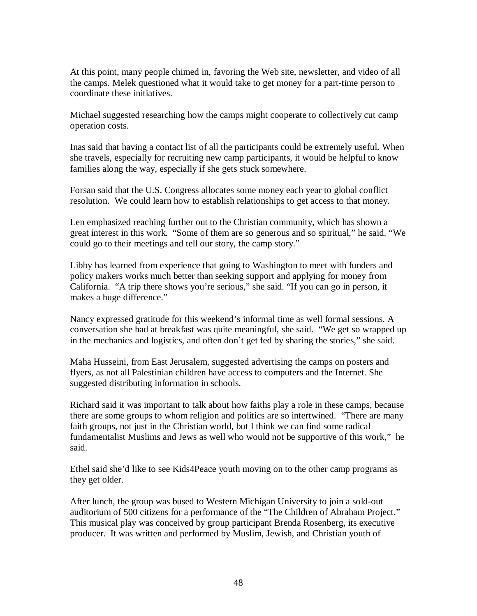At this point, many people chimed in, favoring the Web site, newsletter, and video of all the camps. Melek questioned what it would take to get money for a part-time person to coordinate these initiatives.

Michael suggested researching how the camps might cooperate to collectively cut camp operation costs.

Inas said that having a contact list of all the participants could be extremely useful. When she travels, especially for recruiting new camp participants, it would be helpful to know families along the way, especially if she gets stuck somewhere.

Forsan said that the U.S. Congress allocates some money each year to global conflict resolution. We could learn how to establish relationships to get access to that money.

Len emphasized reaching further out to the Christian community, which has shown a great interest in this work. "Some of them are so generous and so spiritual," he said. "We could go to their meetings and tell our story, the camp story."

Libby has learned from experience that going to Washington to meet with funders and policy makers works much better than seeking support and applying for money from California. "A trip there shows you're serious," she said. "If you can go in person, it makes a huge difference."

Nancy expressed gratitude for this weekend's informal time as well formal sessions. A conversation she had at breakfast was quite meaningful, she said. "We get so wrapped up in the mechanics and logistics, and often don't get fed by sharing the stories," she said.

Maha Husseini, from East Jerusalem, suggested advertising the camps on posters and flyers, as not all Palestinian children have access to computers and the Internet. She suggested distributing information in schools.

Richard said it was important to talk about how faiths play a role in these camps, because there are some groups to whom religion and politics are so intertwined. "There are many faith groups, not just in the Christian world, but I think we can find some radical fundamentalist Muslims and Jews as well who would not be supportive of this work," he said.

Ethel said she'd like to see Kids4Peace youth moving on to the other camp programs as they get older.

After lunch, the group was bused to Western Michigan University to join a sold-out auditorium of 500 citizens for a performance of the "The Children of Abraham Project." This musical play was conceived by group participant Brenda Rosenberg, its executive producer. It was written and performed by Muslim, Jewish, and Christian youth of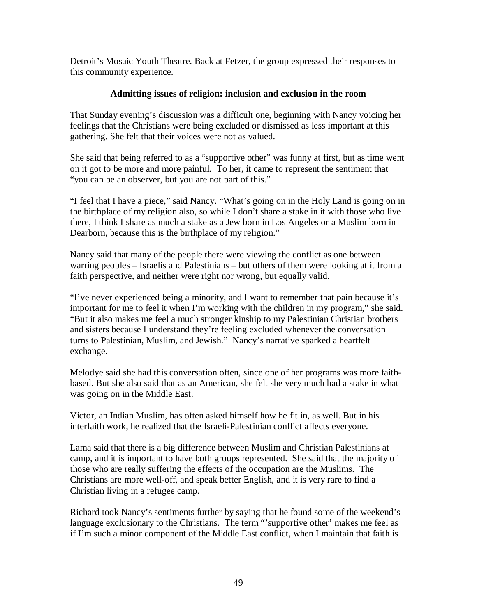Detroit's Mosaic Youth Theatre. Back at Fetzer, the group expressed their responses to this community experience.

#### **Admitting issues of religion: inclusion and exclusion in the room**

That Sunday evening's discussion was a difficult one, beginning with Nancy voicing her feelings that the Christians were being excluded or dismissed as less important at this gathering. She felt that their voices were not as valued.

She said that being referred to as a "supportive other" was funny at first, but as time went on it got to be more and more painful. To her, it came to represent the sentiment that "you can be an observer, but you are not part of this."

"I feel that I have a piece," said Nancy. "What's going on in the Holy Land is going on in the birthplace of my religion also, so while I don't share a stake in it with those who live there, I think I share as much a stake as a Jew born in Los Angeles or a Muslim born in Dearborn, because this is the birthplace of my religion."

Nancy said that many of the people there were viewing the conflict as one between warring peoples – Israelis and Palestinians – but others of them were looking at it from a faith perspective, and neither were right nor wrong, but equally valid.

"I've never experienced being a minority, and I want to remember that pain because it's important for me to feel it when I'm working with the children in my program," she said. "But it also makes me feel a much stronger kinship to my Palestinian Christian brothers and sisters because I understand they're feeling excluded whenever the conversation turns to Palestinian, Muslim, and Jewish." Nancy's narrative sparked a heartfelt exchange.

Melodye said she had this conversation often, since one of her programs was more faithbased. But she also said that as an American, she felt she very much had a stake in what was going on in the Middle East.

Victor, an Indian Muslim, has often asked himself how he fit in, as well. But in his interfaith work, he realized that the Israeli-Palestinian conflict affects everyone.

Lama said that there is a big difference between Muslim and Christian Palestinians at camp, and it is important to have both groups represented. She said that the majority of those who are really suffering the effects of the occupation are the Muslims. The Christians are more well-off, and speak better English, and it is very rare to find a Christian living in a refugee camp.

Richard took Nancy's sentiments further by saying that he found some of the weekend's language exclusionary to the Christians. The term "'supportive other' makes me feel as if I'm such a minor component of the Middle East conflict, when I maintain that faith is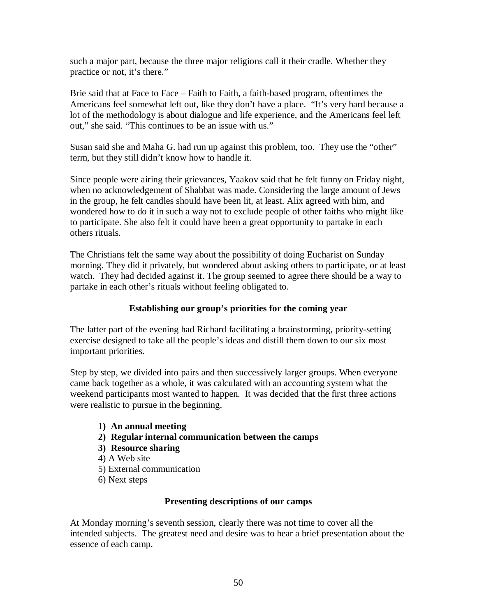such a major part, because the three major religions call it their cradle. Whether they practice or not, it's there."

Brie said that at Face to Face – Faith to Faith, a faith-based program, oftentimes the Americans feel somewhat left out, like they don't have a place. "It's very hard because a lot of the methodology is about dialogue and life experience, and the Americans feel left out," she said. "This continues to be an issue with us."

Susan said she and Maha G. had run up against this problem, too. They use the "other" term, but they still didn't know how to handle it.

Since people were airing their grievances, Yaakov said that he felt funny on Friday night, when no acknowledgement of Shabbat was made. Considering the large amount of Jews in the group, he felt candles should have been lit, at least. Alix agreed with him, and wondered how to do it in such a way not to exclude people of other faiths who might like to participate. She also felt it could have been a great opportunity to partake in each others rituals.

The Christians felt the same way about the possibility of doing Eucharist on Sunday morning. They did it privately, but wondered about asking others to participate, or at least watch. They had decided against it. The group seemed to agree there should be a way to partake in each other's rituals without feeling obligated to.

### **Establishing our group's priorities for the coming year**

The latter part of the evening had Richard facilitating a brainstorming, priority-setting exercise designed to take all the people's ideas and distill them down to our six most important priorities.

Step by step, we divided into pairs and then successively larger groups. When everyone came back together as a whole, it was calculated with an accounting system what the weekend participants most wanted to happen. It was decided that the first three actions were realistic to pursue in the beginning.

- **1) An annual meeting**
- **2) Regular internal communication between the camps**
- **3) Resource sharing**
- 4) A Web site
- 5) External communication
- 6) Next steps

#### **Presenting descriptions of our camps**

At Monday morning's seventh session, clearly there was not time to cover all the intended subjects. The greatest need and desire was to hear a brief presentation about the essence of each camp.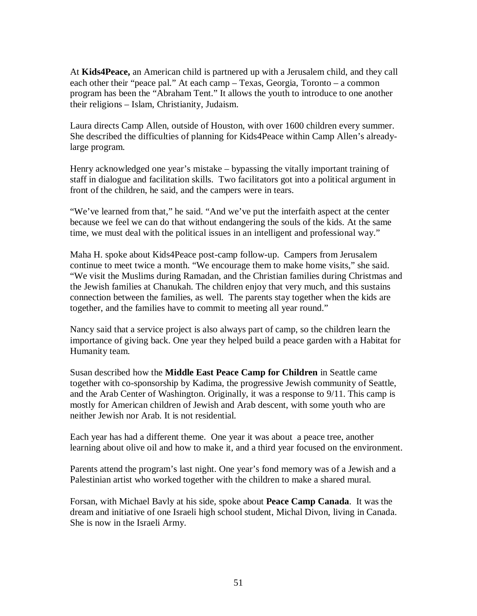At **Kids4Peace,** an American child is partnered up with a Jerusalem child, and they call each other their "peace pal." At each camp – Texas, Georgia, Toronto – a common program has been the "Abraham Tent." It allows the youth to introduce to one another their religions – Islam, Christianity, Judaism.

Laura directs Camp Allen, outside of Houston, with over 1600 children every summer. She described the difficulties of planning for Kids4Peace within Camp Allen's alreadylarge program.

Henry acknowledged one year's mistake – bypassing the vitally important training of staff in dialogue and facilitation skills. Two facilitators got into a political argument in front of the children, he said, and the campers were in tears.

"We've learned from that," he said. "And we've put the interfaith aspect at the center because we feel we can do that without endangering the souls of the kids. At the same time, we must deal with the political issues in an intelligent and professional way."

Maha H. spoke about Kids4Peace post-camp follow-up. Campers from Jerusalem continue to meet twice a month. "We encourage them to make home visits," she said. "We visit the Muslims during Ramadan, and the Christian families during Christmas and the Jewish families at Chanukah. The children enjoy that very much, and this sustains connection between the families, as well. The parents stay together when the kids are together, and the families have to commit to meeting all year round."

Nancy said that a service project is also always part of camp, so the children learn the importance of giving back. One year they helped build a peace garden with a Habitat for Humanity team.

Susan described how the **Middle East Peace Camp for Children** in Seattle came together with co-sponsorship by Kadima, the progressive Jewish community of Seattle, and the Arab Center of Washington. Originally, it was a response to 9/11. This camp is mostly for American children of Jewish and Arab descent, with some youth who are neither Jewish nor Arab. It is not residential.

Each year has had a different theme. One year it was about a peace tree, another learning about olive oil and how to make it, and a third year focused on the environment.

Parents attend the program's last night. One year's fond memory was of a Jewish and a Palestinian artist who worked together with the children to make a shared mural.

Forsan, with Michael Bavly at his side, spoke about **Peace Camp Canada**. It was the dream and initiative of one Israeli high school student, Michal Divon, living in Canada. She is now in the Israeli Army.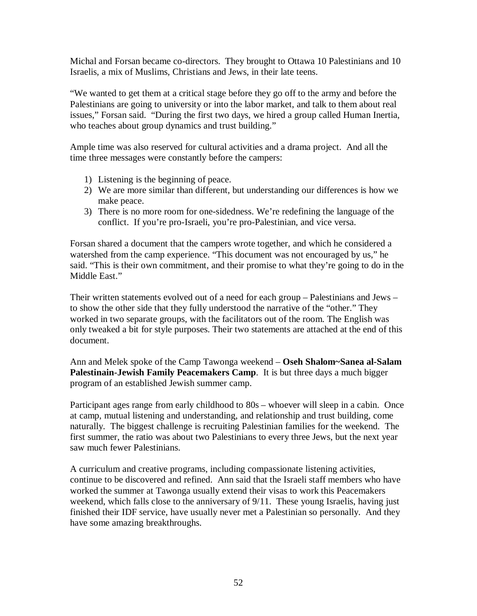Michal and Forsan became co-directors. They brought to Ottawa 10 Palestinians and 10 Israelis, a mix of Muslims, Christians and Jews, in their late teens.

"We wanted to get them at a critical stage before they go off to the army and before the Palestinians are going to university or into the labor market, and talk to them about real issues," Forsan said. "During the first two days, we hired a group called Human Inertia, who teaches about group dynamics and trust building."

Ample time was also reserved for cultural activities and a drama project. And all the time three messages were constantly before the campers:

- 1) Listening is the beginning of peace.
- 2) We are more similar than different, but understanding our differences is how we make peace.
- 3) There is no more room for one-sidedness. We're redefining the language of the conflict. If you're pro-Israeli, you're pro-Palestinian, and vice versa.

Forsan shared a document that the campers wrote together, and which he considered a watershed from the camp experience. "This document was not encouraged by us," he said. "This is their own commitment, and their promise to what they're going to do in the Middle East."

Their written statements evolved out of a need for each group – Palestinians and Jews – to show the other side that they fully understood the narrative of the "other." They worked in two separate groups, with the facilitators out of the room. The English was only tweaked a bit for style purposes. Their two statements are attached at the end of this document.

Ann and Melek spoke of the Camp Tawonga weekend – **Oseh Shalom~Sanea al-Salam Palestinain-Jewish Family Peacemakers Camp**. It is but three days a much bigger program of an established Jewish summer camp.

Participant ages range from early childhood to 80s – whoever will sleep in a cabin. Once at camp, mutual listening and understanding, and relationship and trust building, come naturally. The biggest challenge is recruiting Palestinian families for the weekend. The first summer, the ratio was about two Palestinians to every three Jews, but the next year saw much fewer Palestinians.

A curriculum and creative programs, including compassionate listening activities, continue to be discovered and refined. Ann said that the Israeli staff members who have worked the summer at Tawonga usually extend their visas to work this Peacemakers weekend, which falls close to the anniversary of 9/11. These young Israelis, having just finished their IDF service, have usually never met a Palestinian so personally. And they have some amazing breakthroughs.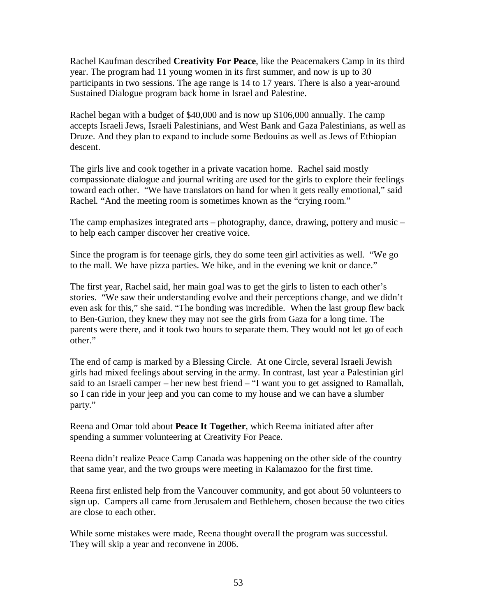Rachel Kaufman described **Creativity For Peace**, like the Peacemakers Camp in its third year. The program had 11 young women in its first summer, and now is up to 30 participants in two sessions. The age range is 14 to 17 years. There is also a year-around Sustained Dialogue program back home in Israel and Palestine.

Rachel began with a budget of \$40,000 and is now up \$106,000 annually. The camp accepts Israeli Jews, Israeli Palestinians, and West Bank and Gaza Palestinians, as well as Druze. And they plan to expand to include some Bedouins as well as Jews of Ethiopian descent.

The girls live and cook together in a private vacation home. Rachel said mostly compassionate dialogue and journal writing are used for the girls to explore their feelings toward each other. "We have translators on hand for when it gets really emotional," said Rachel. "And the meeting room is sometimes known as the "crying room."

The camp emphasizes integrated arts – photography, dance, drawing, pottery and music – to help each camper discover her creative voice.

Since the program is for teenage girls, they do some teen girl activities as well. "We go to the mall. We have pizza parties. We hike, and in the evening we knit or dance."

The first year, Rachel said, her main goal was to get the girls to listen to each other's stories. "We saw their understanding evolve and their perceptions change, and we didn't even ask for this," she said. "The bonding was incredible. When the last group flew back to Ben-Gurion, they knew they may not see the girls from Gaza for a long time. The parents were there, and it took two hours to separate them. They would not let go of each other."

The end of camp is marked by a Blessing Circle. At one Circle, several Israeli Jewish girls had mixed feelings about serving in the army. In contrast, last year a Palestinian girl said to an Israeli camper – her new best friend – "I want you to get assigned to Ramallah, so I can ride in your jeep and you can come to my house and we can have a slumber party."

Reena and Omar told about **Peace It Together**, which Reema initiated after after spending a summer volunteering at Creativity For Peace.

Reena didn't realize Peace Camp Canada was happening on the other side of the country that same year, and the two groups were meeting in Kalamazoo for the first time.

Reena first enlisted help from the Vancouver community, and got about 50 volunteers to sign up. Campers all came from Jerusalem and Bethlehem, chosen because the two cities are close to each other.

While some mistakes were made, Reena thought overall the program was successful. They will skip a year and reconvene in 2006.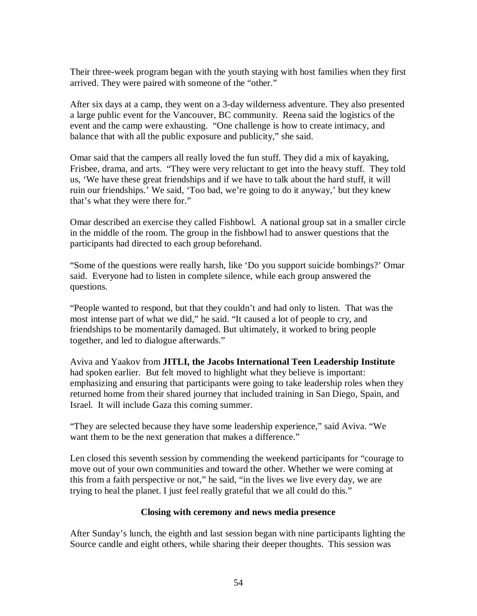Their three-week program began with the youth staying with host families when they first arrived. They were paired with someone of the "other."

After six days at a camp, they went on a 3-day wilderness adventure. They also presented a large public event for the Vancouver, BC community. Reena said the logistics of the event and the camp were exhausting. "One challenge is how to create intimacy, and balance that with all the public exposure and publicity," she said.

Omar said that the campers all really loved the fun stuff. They did a mix of kayaking, Frisbee, drama, and arts. "They were very reluctant to get into the heavy stuff. They told us, 'We have these great friendships and if we have to talk about the hard stuff, it will ruin our friendships.' We said, 'Too bad, we're going to do it anyway,' but they knew that's what they were there for."

Omar described an exercise they called Fishbowl. A national group sat in a smaller circle in the middle of the room. The group in the fishbowl had to answer questions that the participants had directed to each group beforehand.

"Some of the questions were really harsh, like 'Do you support suicide bombings?' Omar said. Everyone had to listen in complete silence, while each group answered the questions.

"People wanted to respond, but that they couldn't and had only to listen. That was the most intense part of what we did," he said. "It caused a lot of people to cry, and friendships to be momentarily damaged. But ultimately, it worked to bring people together, and led to dialogue afterwards."

Aviva and Yaakov from **JITLI, the Jacobs International Teen Leadership Institute**  had spoken earlier. But felt moved to highlight what they believe is important: emphasizing and ensuring that participants were going to take leadership roles when they returned home from their shared journey that included training in San Diego, Spain, and Israel. It will include Gaza this coming summer.

"They are selected because they have some leadership experience," said Aviva. "We want them to be the next generation that makes a difference."

Len closed this seventh session by commending the weekend participants for "courage to move out of your own communities and toward the other. Whether we were coming at this from a faith perspective or not," he said, "in the lives we live every day, we are trying to heal the planet. I just feel really grateful that we all could do this."

#### **Closing with ceremony and news media presence**

After Sunday's lunch, the eighth and last session began with nine participants lighting the Source candle and eight others, while sharing their deeper thoughts. This session was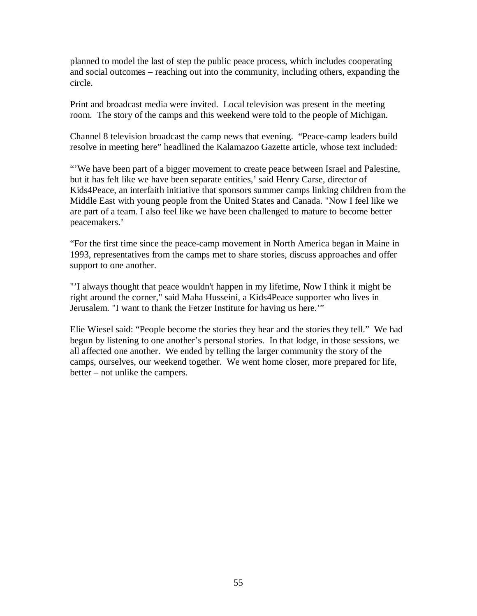planned to model the last of step the public peace process, which includes cooperating and social outcomes – reaching out into the community, including others, expanding the circle.

Print and broadcast media were invited. Local television was present in the meeting room. The story of the camps and this weekend were told to the people of Michigan.

Channel 8 television broadcast the camp news that evening. "Peace-camp leaders build resolve in meeting here" headlined the Kalamazoo Gazette article, whose text included:

"'We have been part of a bigger movement to create peace between Israel and Palestine, but it has felt like we have been separate entities,' said Henry Carse, director of Kids4Peace, an interfaith initiative that sponsors summer camps linking children from the Middle East with young people from the United States and Canada. "Now I feel like we are part of a team. I also feel like we have been challenged to mature to become better peacemakers.'

"For the first time since the peace-camp movement in North America began in Maine in 1993, representatives from the camps met to share stories, discuss approaches and offer support to one another.

"'I always thought that peace wouldn't happen in my lifetime, Now I think it might be right around the corner," said Maha Husseini, a Kids4Peace supporter who lives in Jerusalem. "I want to thank the Fetzer Institute for having us here.'"

Elie Wiesel said: "People become the stories they hear and the stories they tell." We had begun by listening to one another's personal stories. In that lodge, in those sessions, we all affected one another. We ended by telling the larger community the story of the camps, ourselves, our weekend together. We went home closer, more prepared for life, better – not unlike the campers.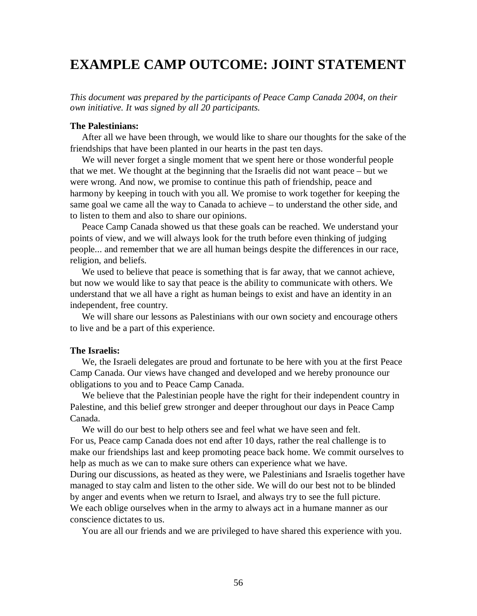# **EXAMPLE CAMP OUTCOME: JOINT STATEMENT**

*This document was prepared by the participants of Peace Camp Canada 2004, on their own initiative. It was signed by all 20 participants.* 

#### **The Palestinians:**

 After all we have been through, we would like to share our thoughts for the sake of the friendships that have been planted in our hearts in the past ten days.

We will never forget a single moment that we spent here or those wonderful people that we met. We thought at the beginning that the Israelis did not want peace – but we were wrong. And now, we promise to continue this path of friendship, peace and harmony by keeping in touch with you all. We promise to work together for keeping the same goal we came all the way to Canada to achieve – to understand the other side, and to listen to them and also to share our opinions.

 Peace Camp Canada showed us that these goals can be reached. We understand your points of view, and we will always look for the truth before even thinking of judging people... and remember that we are all human beings despite the differences in our race, religion, and beliefs.

We used to believe that peace is something that is far away, that we cannot achieve, but now we would like to say that peace is the ability to communicate with others. We understand that we all have a right as human beings to exist and have an identity in an independent, free country.

 We will share our lessons as Palestinians with our own society and encourage others to live and be a part of this experience.

#### **The Israelis:**

 We, the Israeli delegates are proud and fortunate to be here with you at the first Peace Camp Canada. Our views have changed and developed and we hereby pronounce our obligations to you and to Peace Camp Canada.

 We believe that the Palestinian people have the right for their independent country in Palestine, and this belief grew stronger and deeper throughout our days in Peace Camp Canada.

 We will do our best to help others see and feel what we have seen and felt. For us, Peace camp Canada does not end after 10 days, rather the real challenge is to make our friendships last and keep promoting peace back home. We commit ourselves to help as much as we can to make sure others can experience what we have.

During our discussions, as heated as they were, we Palestinians and Israelis together have managed to stay calm and listen to the other side. We will do our best not to be blinded by anger and events when we return to Israel, and always try to see the full picture. We each oblige ourselves when in the army to always act in a humane manner as our conscience dictates to us.

You are all our friends and we are privileged to have shared this experience with you.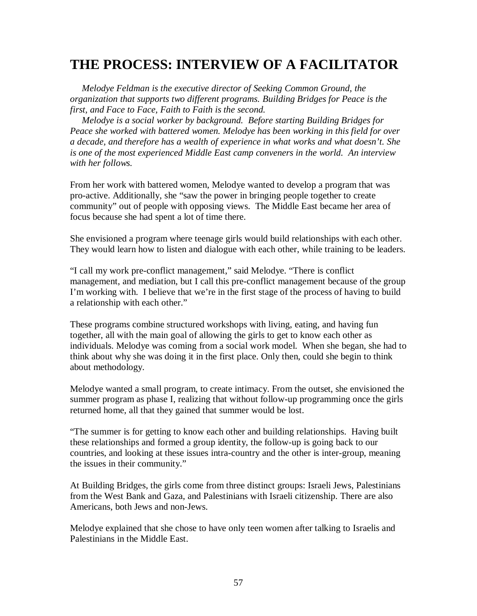# **THE PROCESS: INTERVIEW OF A FACILITATOR**

 *Melodye Feldman is the executive director of Seeking Common Ground, the organization that supports two different programs. Building Bridges for Peace is the first, and Face to Face, Faith to Faith is the second.* 

 *Melodye is a social worker by background. Before starting Building Bridges for Peace she worked with battered women. Melodye has been working in this field for over a decade, and therefore has a wealth of experience in what works and what doesn't. She is one of the most experienced Middle East camp conveners in the world. An interview with her follows.* 

From her work with battered women, Melodye wanted to develop a program that was pro-active. Additionally, she "saw the power in bringing people together to create community" out of people with opposing views. The Middle East became her area of focus because she had spent a lot of time there.

She envisioned a program where teenage girls would build relationships with each other. They would learn how to listen and dialogue with each other, while training to be leaders.

"I call my work pre-conflict management," said Melodye. "There is conflict management, and mediation, but I call this pre-conflict management because of the group I'm working with. I believe that we're in the first stage of the process of having to build a relationship with each other."

These programs combine structured workshops with living, eating, and having fun together, all with the main goal of allowing the girls to get to know each other as individuals. Melodye was coming from a social work model. When she began, she had to think about why she was doing it in the first place. Only then, could she begin to think about methodology.

Melodye wanted a small program, to create intimacy. From the outset, she envisioned the summer program as phase I, realizing that without follow-up programming once the girls returned home, all that they gained that summer would be lost.

"The summer is for getting to know each other and building relationships. Having built these relationships and formed a group identity, the follow-up is going back to our countries, and looking at these issues intra-country and the other is inter-group, meaning the issues in their community."

At Building Bridges, the girls come from three distinct groups: Israeli Jews, Palestinians from the West Bank and Gaza, and Palestinians with Israeli citizenship. There are also Americans, both Jews and non-Jews.

Melodye explained that she chose to have only teen women after talking to Israelis and Palestinians in the Middle East.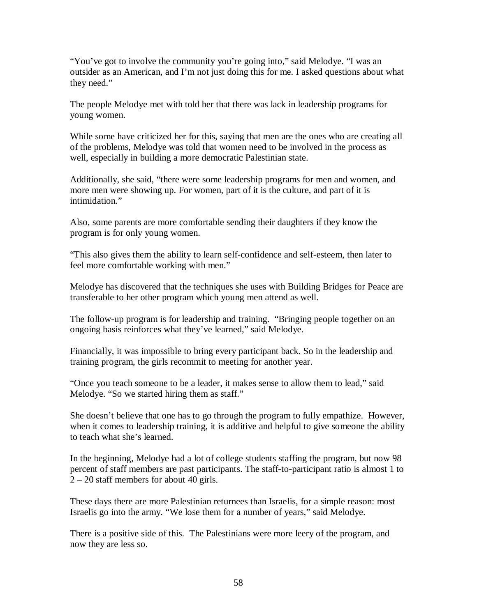"You've got to involve the community you're going into," said Melodye. "I was an outsider as an American, and I'm not just doing this for me. I asked questions about what they need."

The people Melodye met with told her that there was lack in leadership programs for young women.

While some have criticized her for this, saying that men are the ones who are creating all of the problems, Melodye was told that women need to be involved in the process as well, especially in building a more democratic Palestinian state.

Additionally, she said, "there were some leadership programs for men and women, and more men were showing up. For women, part of it is the culture, and part of it is intimidation."

Also, some parents are more comfortable sending their daughters if they know the program is for only young women.

"This also gives them the ability to learn self-confidence and self-esteem, then later to feel more comfortable working with men."

Melodye has discovered that the techniques she uses with Building Bridges for Peace are transferable to her other program which young men attend as well.

The follow-up program is for leadership and training. "Bringing people together on an ongoing basis reinforces what they've learned," said Melodye.

Financially, it was impossible to bring every participant back. So in the leadership and training program, the girls recommit to meeting for another year.

"Once you teach someone to be a leader, it makes sense to allow them to lead," said Melodye. "So we started hiring them as staff."

She doesn't believe that one has to go through the program to fully empathize. However, when it comes to leadership training, it is additive and helpful to give someone the ability to teach what she's learned.

In the beginning, Melodye had a lot of college students staffing the program, but now 98 percent of staff members are past participants. The staff-to-participant ratio is almost 1 to 2 – 20 staff members for about 40 girls.

These days there are more Palestinian returnees than Israelis, for a simple reason: most Israelis go into the army. "We lose them for a number of years," said Melodye.

There is a positive side of this. The Palestinians were more leery of the program, and now they are less so.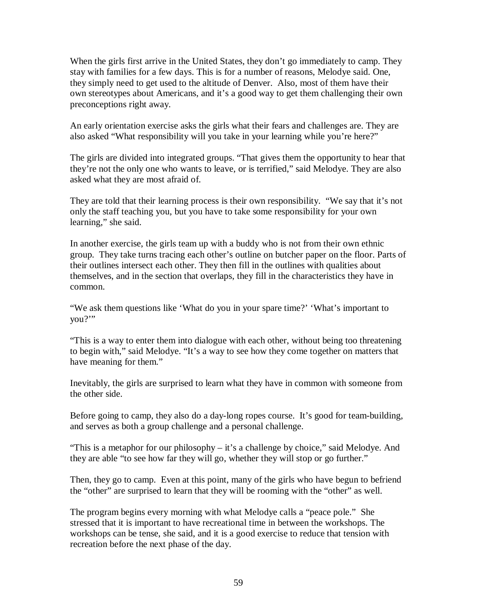When the girls first arrive in the United States, they don't go immediately to camp. They stay with families for a few days. This is for a number of reasons, Melodye said. One, they simply need to get used to the altitude of Denver. Also, most of them have their own stereotypes about Americans, and it's a good way to get them challenging their own preconceptions right away.

An early orientation exercise asks the girls what their fears and challenges are. They are also asked "What responsibility will you take in your learning while you're here?"

The girls are divided into integrated groups. "That gives them the opportunity to hear that they're not the only one who wants to leave, or is terrified," said Melodye. They are also asked what they are most afraid of.

They are told that their learning process is their own responsibility. "We say that it's not only the staff teaching you, but you have to take some responsibility for your own learning," she said.

In another exercise, the girls team up with a buddy who is not from their own ethnic group. They take turns tracing each other's outline on butcher paper on the floor. Parts of their outlines intersect each other. They then fill in the outlines with qualities about themselves, and in the section that overlaps, they fill in the characteristics they have in common.

"We ask them questions like 'What do you in your spare time?' 'What's important to you?'"

"This is a way to enter them into dialogue with each other, without being too threatening to begin with," said Melodye. "It's a way to see how they come together on matters that have meaning for them."

Inevitably, the girls are surprised to learn what they have in common with someone from the other side.

Before going to camp, they also do a day-long ropes course. It's good for team-building, and serves as both a group challenge and a personal challenge.

"This is a metaphor for our philosophy – it's a challenge by choice," said Melodye. And they are able "to see how far they will go, whether they will stop or go further."

Then, they go to camp. Even at this point, many of the girls who have begun to befriend the "other" are surprised to learn that they will be rooming with the "other" as well.

The program begins every morning with what Melodye calls a "peace pole." She stressed that it is important to have recreational time in between the workshops. The workshops can be tense, she said, and it is a good exercise to reduce that tension with recreation before the next phase of the day.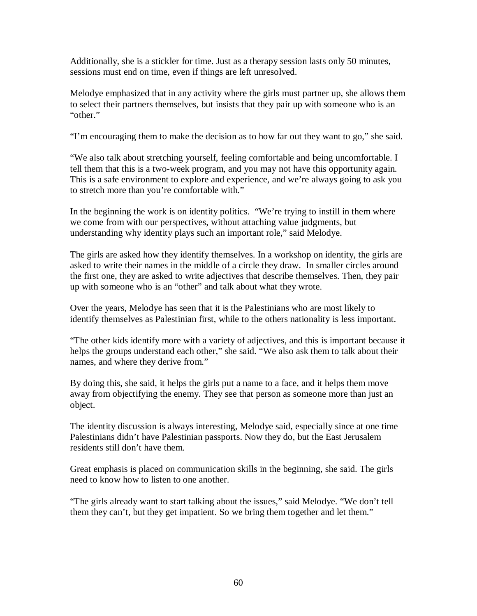Additionally, she is a stickler for time. Just as a therapy session lasts only 50 minutes, sessions must end on time, even if things are left unresolved.

Melodye emphasized that in any activity where the girls must partner up, she allows them to select their partners themselves, but insists that they pair up with someone who is an "other."

"I'm encouraging them to make the decision as to how far out they want to go," she said.

"We also talk about stretching yourself, feeling comfortable and being uncomfortable. I tell them that this is a two-week program, and you may not have this opportunity again. This is a safe environment to explore and experience, and we're always going to ask you to stretch more than you're comfortable with."

In the beginning the work is on identity politics. "We're trying to instill in them where we come from with our perspectives, without attaching value judgments, but understanding why identity plays such an important role," said Melodye.

The girls are asked how they identify themselves. In a workshop on identity, the girls are asked to write their names in the middle of a circle they draw. In smaller circles around the first one, they are asked to write adjectives that describe themselves. Then, they pair up with someone who is an "other" and talk about what they wrote.

Over the years, Melodye has seen that it is the Palestinians who are most likely to identify themselves as Palestinian first, while to the others nationality is less important.

"The other kids identify more with a variety of adjectives, and this is important because it helps the groups understand each other," she said. "We also ask them to talk about their names, and where they derive from."

By doing this, she said, it helps the girls put a name to a face, and it helps them move away from objectifying the enemy. They see that person as someone more than just an object.

The identity discussion is always interesting, Melodye said, especially since at one time Palestinians didn't have Palestinian passports. Now they do, but the East Jerusalem residents still don't have them.

Great emphasis is placed on communication skills in the beginning, she said. The girls need to know how to listen to one another.

"The girls already want to start talking about the issues," said Melodye. "We don't tell them they can't, but they get impatient. So we bring them together and let them."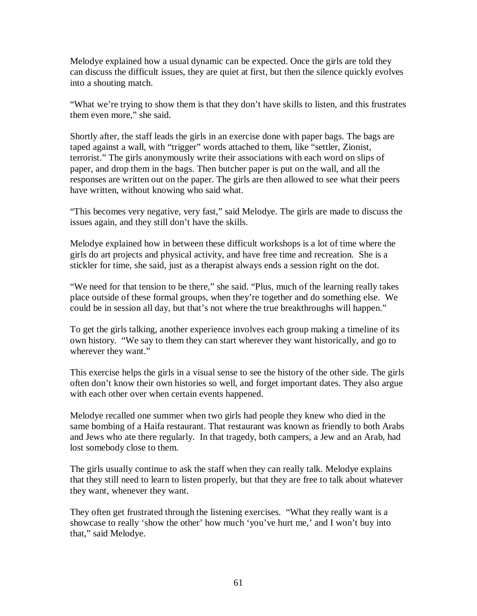Melodye explained how a usual dynamic can be expected. Once the girls are told they can discuss the difficult issues, they are quiet at first, but then the silence quickly evolves into a shouting match.

"What we're trying to show them is that they don't have skills to listen, and this frustrates them even more," she said.

Shortly after, the staff leads the girls in an exercise done with paper bags. The bags are taped against a wall, with "trigger" words attached to them, like "settler, Zionist, terrorist." The girls anonymously write their associations with each word on slips of paper, and drop them in the bags. Then butcher paper is put on the wall, and all the responses are written out on the paper. The girls are then allowed to see what their peers have written, without knowing who said what.

"This becomes very negative, very fast," said Melodye. The girls are made to discuss the issues again, and they still don't have the skills.

Melodye explained how in between these difficult workshops is a lot of time where the girls do art projects and physical activity, and have free time and recreation. She is a stickler for time, she said, just as a therapist always ends a session right on the dot.

"We need for that tension to be there," she said. "Plus, much of the learning really takes place outside of these formal groups, when they're together and do something else. We could be in session all day, but that's not where the true breakthroughs will happen."

To get the girls talking, another experience involves each group making a timeline of its own history. "We say to them they can start wherever they want historically, and go to wherever they want."

This exercise helps the girls in a visual sense to see the history of the other side. The girls often don't know their own histories so well, and forget important dates. They also argue with each other over when certain events happened.

Melodye recalled one summer when two girls had people they knew who died in the same bombing of a Haifa restaurant. That restaurant was known as friendly to both Arabs and Jews who ate there regularly. In that tragedy, both campers, a Jew and an Arab, had lost somebody close to them.

The girls usually continue to ask the staff when they can really talk. Melodye explains that they still need to learn to listen properly, but that they are free to talk about whatever they want, whenever they want.

They often get frustrated through the listening exercises. "What they really want is a showcase to really 'show the other' how much 'you've hurt me,' and I won't buy into that," said Melodye.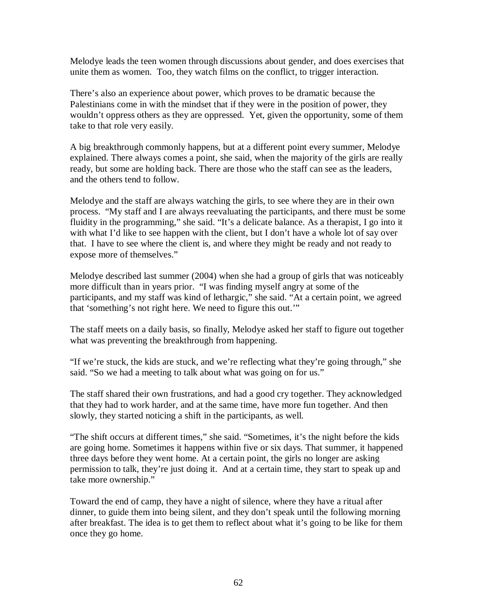Melodye leads the teen women through discussions about gender, and does exercises that unite them as women. Too, they watch films on the conflict, to trigger interaction.

There's also an experience about power, which proves to be dramatic because the Palestinians come in with the mindset that if they were in the position of power, they wouldn't oppress others as they are oppressed. Yet, given the opportunity, some of them take to that role very easily.

A big breakthrough commonly happens, but at a different point every summer, Melodye explained. There always comes a point, she said, when the majority of the girls are really ready, but some are holding back. There are those who the staff can see as the leaders, and the others tend to follow.

Melodye and the staff are always watching the girls, to see where they are in their own process. "My staff and I are always reevaluating the participants, and there must be some fluidity in the programming," she said. "It's a delicate balance. As a therapist, I go into it with what I'd like to see happen with the client, but I don't have a whole lot of say over that. I have to see where the client is, and where they might be ready and not ready to expose more of themselves."

Melodye described last summer (2004) when she had a group of girls that was noticeably more difficult than in years prior. "I was finding myself angry at some of the participants, and my staff was kind of lethargic," she said. "At a certain point, we agreed that 'something's not right here. We need to figure this out.'"

The staff meets on a daily basis, so finally, Melodye asked her staff to figure out together what was preventing the breakthrough from happening.

"If we're stuck, the kids are stuck, and we're reflecting what they're going through," she said. "So we had a meeting to talk about what was going on for us."

The staff shared their own frustrations, and had a good cry together. They acknowledged that they had to work harder, and at the same time, have more fun together. And then slowly, they started noticing a shift in the participants, as well.

"The shift occurs at different times," she said. "Sometimes, it's the night before the kids are going home. Sometimes it happens within five or six days. That summer, it happened three days before they went home. At a certain point, the girls no longer are asking permission to talk, they're just doing it. And at a certain time, they start to speak up and take more ownership."

Toward the end of camp, they have a night of silence, where they have a ritual after dinner, to guide them into being silent, and they don't speak until the following morning after breakfast. The idea is to get them to reflect about what it's going to be like for them once they go home.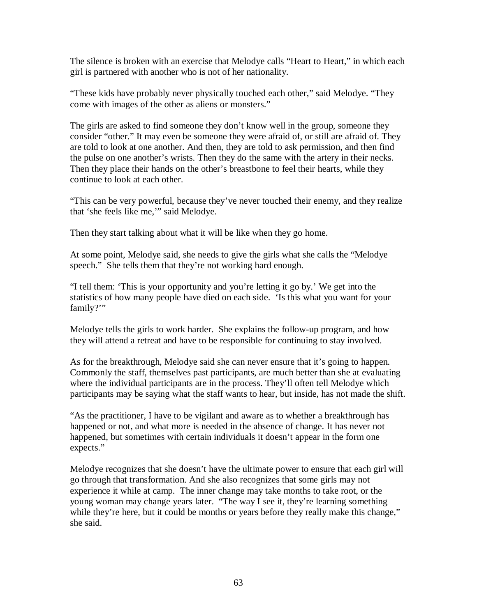The silence is broken with an exercise that Melodye calls "Heart to Heart," in which each girl is partnered with another who is not of her nationality.

"These kids have probably never physically touched each other," said Melodye. "They come with images of the other as aliens or monsters."

The girls are asked to find someone they don't know well in the group, someone they consider "other." It may even be someone they were afraid of, or still are afraid of. They are told to look at one another. And then, they are told to ask permission, and then find the pulse on one another's wrists. Then they do the same with the artery in their necks. Then they place their hands on the other's breastbone to feel their hearts, while they continue to look at each other.

"This can be very powerful, because they've never touched their enemy, and they realize that 'she feels like me,'" said Melodye.

Then they start talking about what it will be like when they go home.

At some point, Melodye said, she needs to give the girls what she calls the "Melodye speech." She tells them that they're not working hard enough.

"I tell them: 'This is your opportunity and you're letting it go by.' We get into the statistics of how many people have died on each side. 'Is this what you want for your family?"

Melodye tells the girls to work harder. She explains the follow-up program, and how they will attend a retreat and have to be responsible for continuing to stay involved.

As for the breakthrough, Melodye said she can never ensure that it's going to happen. Commonly the staff, themselves past participants, are much better than she at evaluating where the individual participants are in the process. They'll often tell Melodye which participants may be saying what the staff wants to hear, but inside, has not made the shift.

"As the practitioner, I have to be vigilant and aware as to whether a breakthrough has happened or not, and what more is needed in the absence of change. It has never not happened, but sometimes with certain individuals it doesn't appear in the form one expects."

Melodye recognizes that she doesn't have the ultimate power to ensure that each girl will go through that transformation. And she also recognizes that some girls may not experience it while at camp. The inner change may take months to take root, or the young woman may change years later. "The way I see it, they're learning something while they're here, but it could be months or years before they really make this change," she said.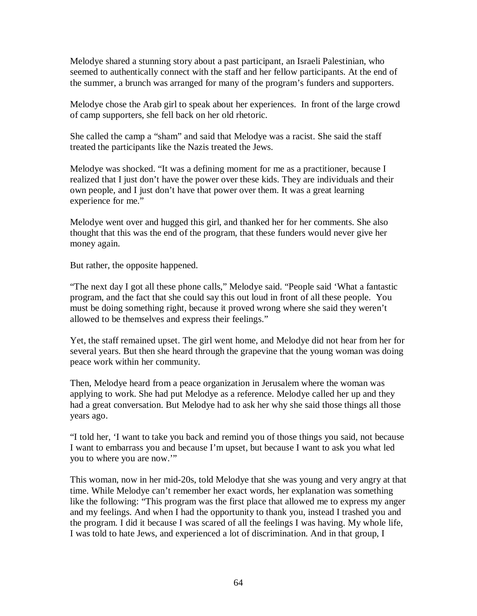Melodye shared a stunning story about a past participant, an Israeli Palestinian, who seemed to authentically connect with the staff and her fellow participants. At the end of the summer, a brunch was arranged for many of the program's funders and supporters.

Melodye chose the Arab girl to speak about her experiences. In front of the large crowd of camp supporters, she fell back on her old rhetoric.

She called the camp a "sham" and said that Melodye was a racist. She said the staff treated the participants like the Nazis treated the Jews.

Melodye was shocked. "It was a defining moment for me as a practitioner, because I realized that I just don't have the power over these kids. They are individuals and their own people, and I just don't have that power over them. It was a great learning experience for me."

Melodye went over and hugged this girl, and thanked her for her comments. She also thought that this was the end of the program, that these funders would never give her money again.

But rather, the opposite happened.

"The next day I got all these phone calls," Melodye said. "People said 'What a fantastic program, and the fact that she could say this out loud in front of all these people. You must be doing something right, because it proved wrong where she said they weren't allowed to be themselves and express their feelings."

Yet, the staff remained upset. The girl went home, and Melodye did not hear from her for several years. But then she heard through the grapevine that the young woman was doing peace work within her community.

Then, Melodye heard from a peace organization in Jerusalem where the woman was applying to work. She had put Melodye as a reference. Melodye called her up and they had a great conversation. But Melodye had to ask her why she said those things all those years ago.

"I told her, 'I want to take you back and remind you of those things you said, not because I want to embarrass you and because I'm upset, but because I want to ask you what led you to where you are now.'"

This woman, now in her mid-20s, told Melodye that she was young and very angry at that time. While Melodye can't remember her exact words, her explanation was something like the following: "This program was the first place that allowed me to express my anger and my feelings. And when I had the opportunity to thank you, instead I trashed you and the program. I did it because I was scared of all the feelings I was having. My whole life, I was told to hate Jews, and experienced a lot of discrimination. And in that group, I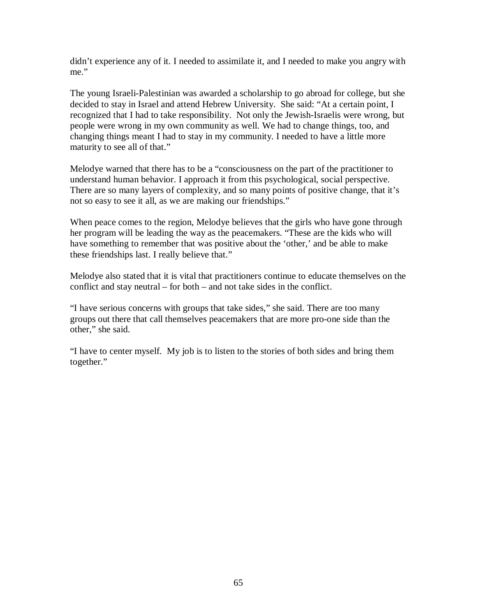didn't experience any of it. I needed to assimilate it, and I needed to make you angry with me."

The young Israeli-Palestinian was awarded a scholarship to go abroad for college, but she decided to stay in Israel and attend Hebrew University. She said: "At a certain point, I recognized that I had to take responsibility. Not only the Jewish-Israelis were wrong, but people were wrong in my own community as well. We had to change things, too, and changing things meant I had to stay in my community. I needed to have a little more maturity to see all of that."

Melodye warned that there has to be a "consciousness on the part of the practitioner to understand human behavior. I approach it from this psychological, social perspective. There are so many layers of complexity, and so many points of positive change, that it's not so easy to see it all, as we are making our friendships."

When peace comes to the region, Melodye believes that the girls who have gone through her program will be leading the way as the peacemakers. "These are the kids who will have something to remember that was positive about the 'other,' and be able to make these friendships last. I really believe that."

Melodye also stated that it is vital that practitioners continue to educate themselves on the conflict and stay neutral – for both – and not take sides in the conflict.

"I have serious concerns with groups that take sides," she said. There are too many groups out there that call themselves peacemakers that are more pro-one side than the other," she said.

"I have to center myself. My job is to listen to the stories of both sides and bring them together."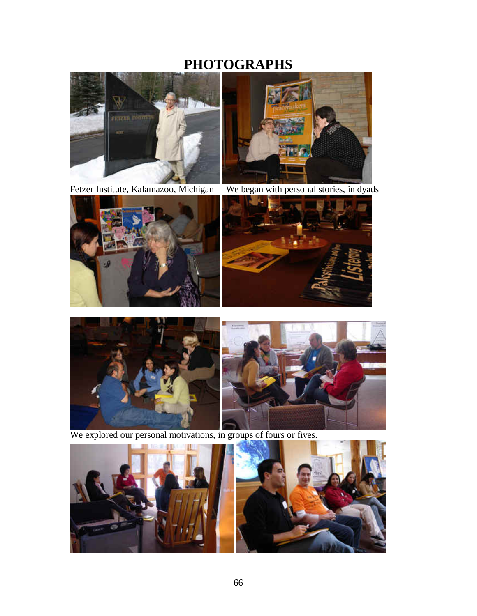# **PHOTOGRAPHS**







 $\overline{\phantom{a}}$ 









We explored our personal motivations, in groups of fours or fives.

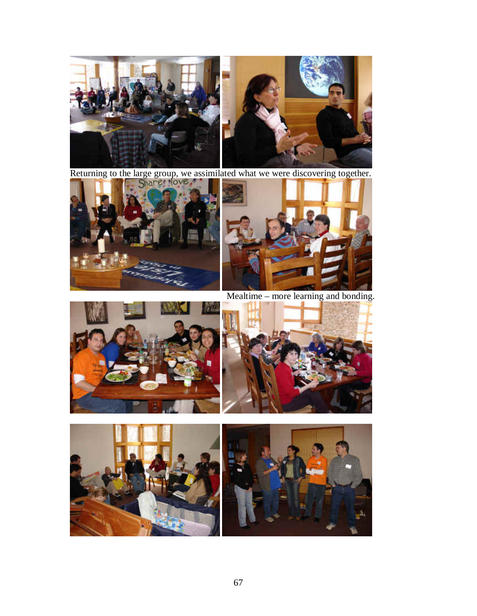

Returning to the large group, we assimilated what we were discovering together.





Mealtime – more learning and bonding.





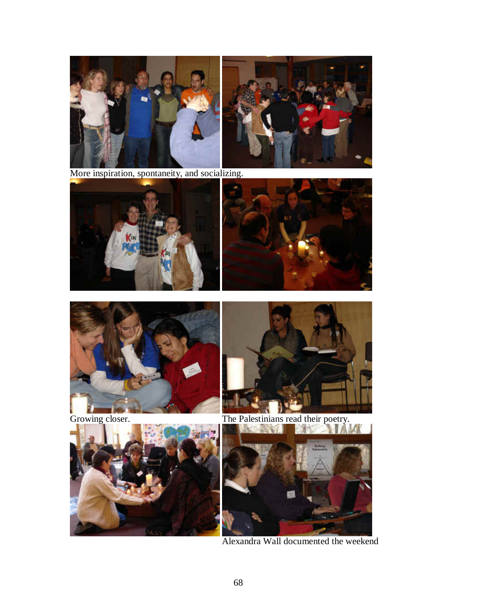

More inspiration, spontaneity, and socializing.











Growing closer. The Palestinians read their poetry.





Alexandra Wall documented the weekend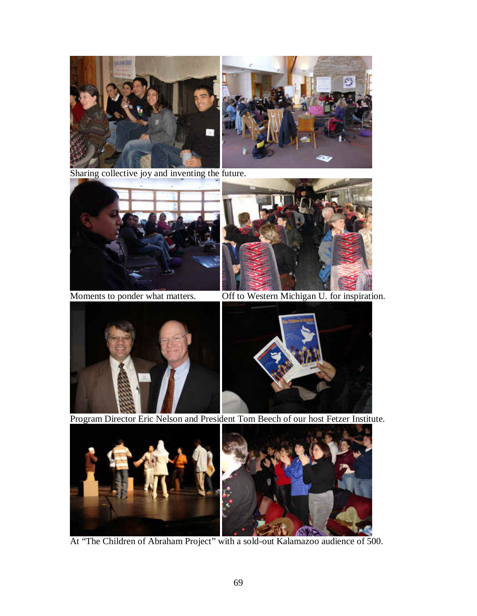

Sharing collective joy and inventing the future.





Moments to ponder what matters. Off to Western Michigan U. for inspiration.





Program Director Eric Nelson and President Tom Beech of our host Fetzer Institute.



At "The Children of Abraham Project" with a sold-out Kalamazoo audience of 500.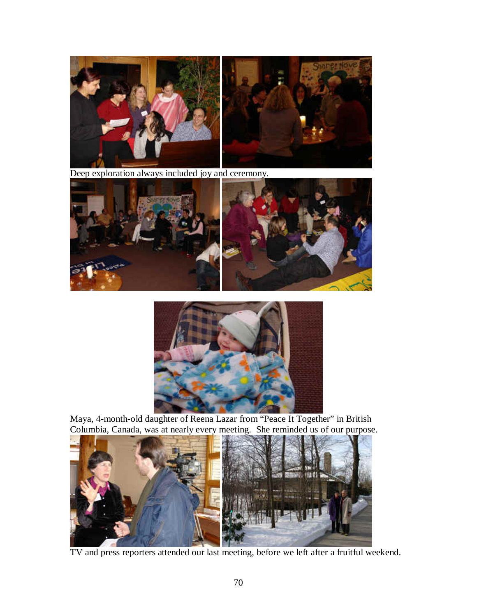

Deep exploration always included joy and ceremony.





Maya, 4-month-old daughter of Reena Lazar from "Peace It Together" in British Columbia, Canada, was at nearly every meeting. She reminded us of our purpose.



TV and press reporters attended our last meeting, before we left after a fruitful weekend.